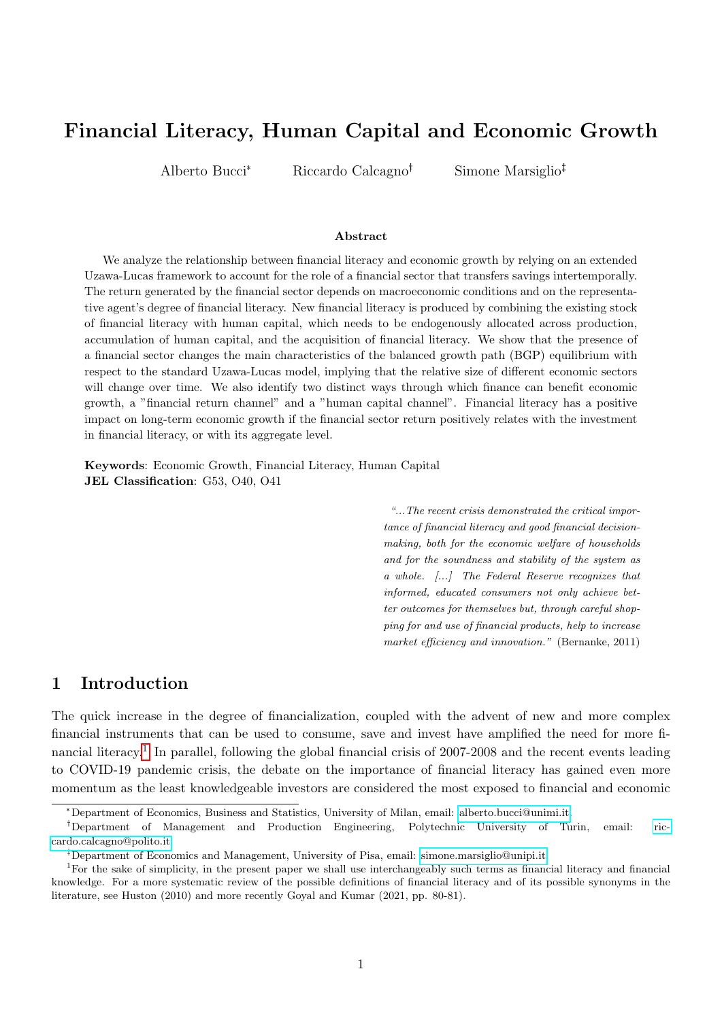# <span id="page-0-0"></span>Financial Literacy, Human Capital and Economic Growth

Alberto Bucci<sup>\*</sup> Riccardo Calcagno<sup>†</sup> Simone Marsiglio<sup>‡</sup>

#### Abstract

We analyze the relationship between financial literacy and economic growth by relying on an extended Uzawa-Lucas framework to account for the role of a financial sector that transfers savings intertemporally. The return generated by the financial sector depends on macroeconomic conditions and on the representative agent's degree of financial literacy. New financial literacy is produced by combining the existing stock of financial literacy with human capital, which needs to be endogenously allocated across production, accumulation of human capital, and the acquisition of financial literacy. We show that the presence of a financial sector changes the main characteristics of the balanced growth path (BGP) equilibrium with respect to the standard Uzawa-Lucas model, implying that the relative size of different economic sectors will change over time. We also identify two distinct ways through which finance can benefit economic growth, a "financial return channel" and a "human capital channel". Financial literacy has a positive impact on long-term economic growth if the financial sector return positively relates with the investment in financial literacy, or with its aggregate level.

Keywords: Economic Growth, Financial Literacy, Human Capital JEL Classification: G53, O40, O41

> "...The recent crisis demonstrated the critical importance of financial literacy and good financial decisionmaking, both for the economic welfare of households and for the soundness and stability of the system as a whole. [...] The Federal Reserve recognizes that informed, educated consumers not only achieve better outcomes for themselves but, through careful shopping for and use of financial products, help to increase market efficiency and innovation." (Bernanke, 2011)

# 1 Introduction

The quick increase in the degree of financialization, coupled with the advent of new and more complex financial instruments that can be used to consume, save and invest have amplified the need for more financial literacy.<sup>1</sup> In parallel, following the global financial crisis of 2007-2008 and the recent events leading to COVID-19 pandemic crisis, the debate on the importance of financial literacy has gained even more momentum as the least knowledgeable investors are considered the most exposed to financial and economic

<sup>\*</sup>Department of Economics, Business and Statistics, University of Milan, email: [alberto.bucci@unimi.it.](mailto:alberto.bucci@unimi.it)

Department of Management and Production Engineering, Polytechnic University of Turin, email: [ric](mailto:riccardo.calcagno@polito.it)[cardo.calcagno@polito.it.](mailto:riccardo.calcagno@polito.it)

Department of Economics and Management, University of Pisa, email: [simone.marsiglio@unipi.it.](mailto:simone.marsiglio@unipi.it)

<sup>1</sup>For the sake of simplicity, in the present paper we shall use interchangeably such terms as financial literacy and financial knowledge. For a more systematic review of the possible definitions of financial literacy and of its possible synonyms in the literature, see Huston (2010) and more recently Goyal and Kumar (2021, pp. 80-81).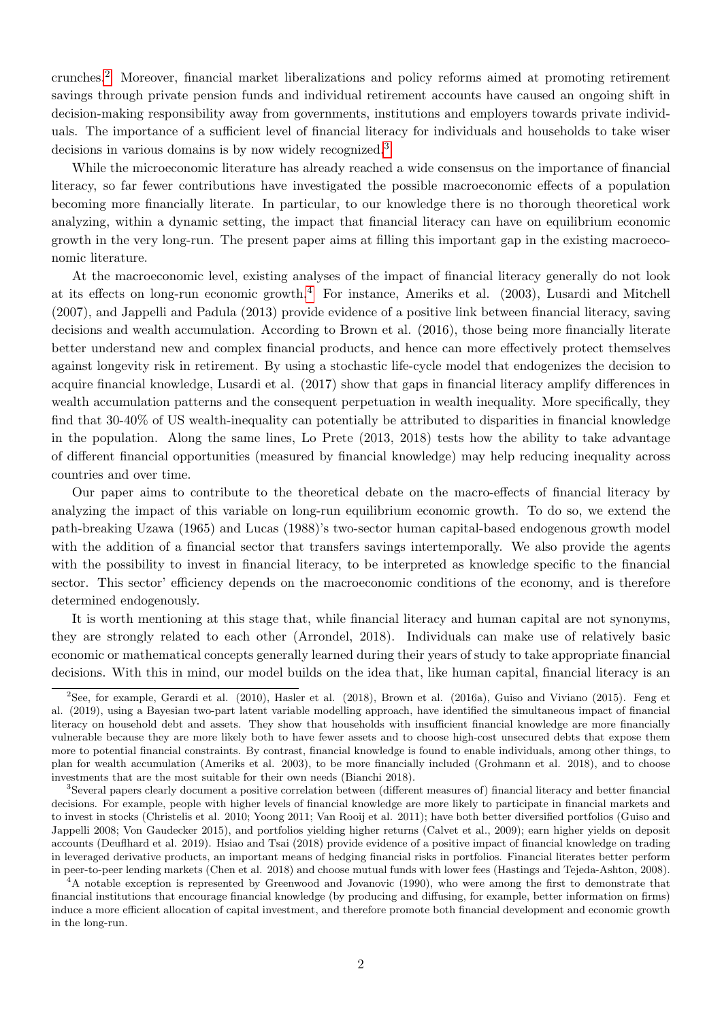crunches.[2](#page-0-0) Moreover, financial market liberalizations and policy reforms aimed at promoting retirement savings through private pension funds and individual retirement accounts have caused an ongoing shift in decision-making responsibility away from governments, institutions and employers towards private individuals. The importance of a sufficient level of financial literacy for individuals and households to take wiser decisions in various domains is by now widely recognized.<sup>[3](#page-0-0)</sup>

While the microeconomic literature has already reached a wide consensus on the importance of financial literacy, so far fewer contributions have investigated the possible macroeconomic effects of a population becoming more financially literate. In particular, to our knowledge there is no thorough theoretical work analyzing, within a dynamic setting, the impact that financial literacy can have on equilibrium economic growth in the very long-run. The present paper aims at filling this important gap in the existing macroeconomic literature.

At the macroeconomic level, existing analyses of the impact of financial literacy generally do not look at its effects on long-run economic growth.<sup>[4](#page-0-0)</sup> For instance, Ameriks et al.  $(2003)$ , Lusardi and Mitchell (2007), and Jappelli and Padula (2013) provide evidence of a positive link between financial literacy, saving decisions and wealth accumulation. According to Brown et al. (2016), those being more financially literate better understand new and complex financial products, and hence can more effectively protect themselves against longevity risk in retirement. By using a stochastic life-cycle model that endogenizes the decision to acquire financial knowledge, Lusardi et al. (2017) show that gaps in financial literacy amplify differences in wealth accumulation patterns and the consequent perpetuation in wealth inequality. More specifically, they find that 30-40% of US wealth-inequality can potentially be attributed to disparities in financial knowledge in the population. Along the same lines, Lo Prete (2013, 2018) tests how the ability to take advantage of different financial opportunities (measured by financial knowledge) may help reducing inequality across countries and over time.

Our paper aims to contribute to the theoretical debate on the macro-effects of financial literacy by analyzing the impact of this variable on long-run equilibrium economic growth. To do so, we extend the path-breaking Uzawa (1965) and Lucas (1988)'s two-sector human capital-based endogenous growth model with the addition of a financial sector that transfers savings intertemporally. We also provide the agents with the possibility to invest in financial literacy, to be interpreted as knowledge specific to the financial sector. This sector' efficiency depends on the macroeconomic conditions of the economy, and is therefore determined endogenously.

It is worth mentioning at this stage that, while financial literacy and human capital are not synonyms, they are strongly related to each other (Arrondel, 2018). Individuals can make use of relatively basic economic or mathematical concepts generally learned during their years of study to take appropriate financial decisions. With this in mind, our model builds on the idea that, like human capital, financial literacy is an

 ${}^{2}$ See, for example, Gerardi et al. (2010), Hasler et al. (2018), Brown et al. (2016a), Guiso and Viviano (2015). Feng et al. (2019), using a Bayesian two-part latent variable modelling approach, have identified the simultaneous impact of financial literacy on household debt and assets. They show that households with insufficient financial knowledge are more financially vulnerable because they are more likely both to have fewer assets and to choose high-cost unsecured debts that expose them more to potential financial constraints. By contrast, financial knowledge is found to enable individuals, among other things, to plan for wealth accumulation (Ameriks et al. 2003), to be more financially included (Grohmann et al. 2018), and to choose investments that are the most suitable for their own needs (Bianchi 2018).

<sup>3</sup>Several papers clearly document a positive correlation between (different measures of) financial literacy and better financial decisions. For example, people with higher levels of financial knowledge are more likely to participate in financial markets and to invest in stocks (Christelis et al. 2010; Yoong 2011; Van Rooij et al. 2011); have both better diversified portfolios (Guiso and Jappelli 2008; Von Gaudecker 2015), and portfolios yielding higher returns (Calvet et al., 2009); earn higher yields on deposit accounts (Deuflhard et al. 2019). Hsiao and Tsai (2018) provide evidence of a positive impact of financial knowledge on trading in leveraged derivative products, an important means of hedging financial risks in portfolios. Financial literates better perform in peer-to-peer lending markets (Chen et al. 2018) and choose mutual funds with lower fees (Hastings and Tejeda-Ashton, 2008).

<sup>&</sup>lt;sup>4</sup>A notable exception is represented by Greenwood and Jovanovic (1990), who were among the first to demonstrate that financial institutions that encourage financial knowledge (by producing and diffusing, for example, better information on firms) induce a more efficient allocation of capital investment, and therefore promote both financial development and economic growth in the long-run.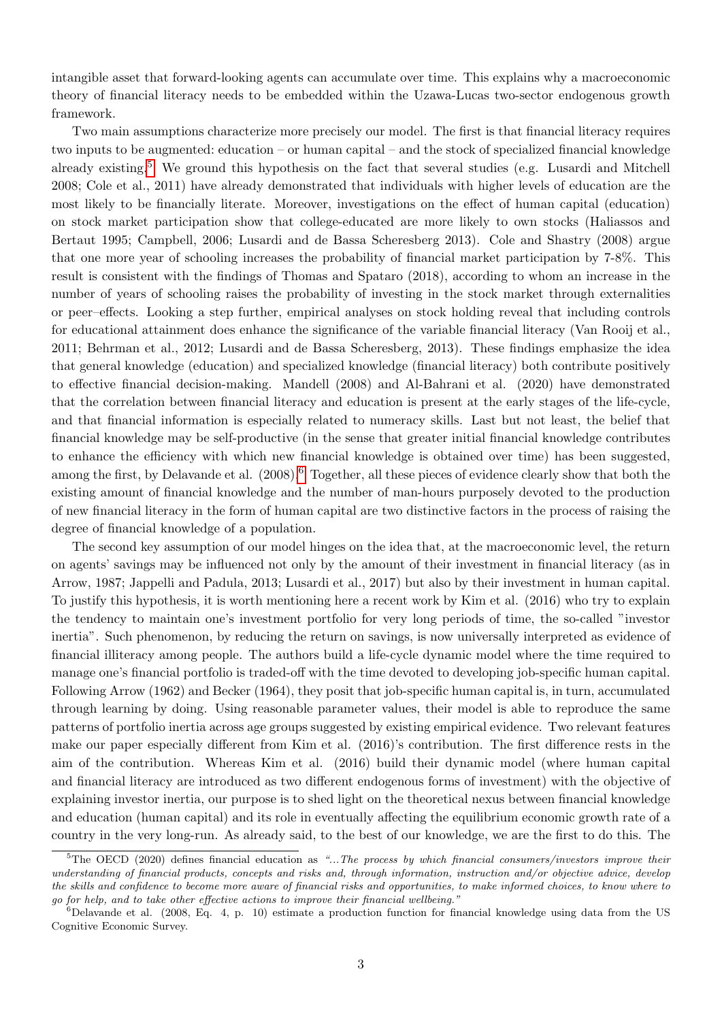intangible asset that forward-looking agents can accumulate over time. This explains why a macroeconomic theory of financial literacy needs to be embedded within the Uzawa-Lucas two-sector endogenous growth framework.

Two main assumptions characterize more precisely our model. The first is that financial literacy requires two inputs to be augmented: education – or human capital – and the stock of specialized financial knowledge already existing.[5](#page-0-0) We ground this hypothesis on the fact that several studies (e.g. Lusardi and Mitchell 2008; Cole et al., 2011) have already demonstrated that individuals with higher levels of education are the most likely to be financially literate. Moreover, investigations on the effect of human capital (education) on stock market participation show that college-educated are more likely to own stocks (Haliassos and Bertaut 1995; Campbell, 2006; Lusardi and de Bassa Scheresberg 2013). Cole and Shastry (2008) argue that one more year of schooling increases the probability of financial market participation by 7-8%. This result is consistent with the findings of Thomas and Spataro (2018), according to whom an increase in the number of years of schooling raises the probability of investing in the stock market through externalities or peer–effects. Looking a step further, empirical analyses on stock holding reveal that including controls for educational attainment does enhance the significance of the variable financial literacy (Van Rooij et al., 2011; Behrman et al., 2012; Lusardi and de Bassa Scheresberg, 2013). These findings emphasize the idea that general knowledge (education) and specialized knowledge (financial literacy) both contribute positively to effective financial decision-making. Mandell (2008) and Al-Bahrani et al. (2020) have demonstrated that the correlation between financial literacy and education is present at the early stages of the life-cycle, and that financial information is especially related to numeracy skills. Last but not least, the belief that financial knowledge may be self-productive (in the sense that greater initial financial knowledge contributes to enhance the efficiency with which new financial knowledge is obtained over time) has been suggested, among the first, by Delavande et al. (2008).<sup>[6](#page-0-0)</sup> Together, all these pieces of evidence clearly show that both the existing amount of financial knowledge and the number of man-hours purposely devoted to the production of new financial literacy in the form of human capital are two distinctive factors in the process of raising the degree of financial knowledge of a population.

The second key assumption of our model hinges on the idea that, at the macroeconomic level, the return on agents' savings may be influenced not only by the amount of their investment in financial literacy (as in Arrow, 1987; Jappelli and Padula, 2013; Lusardi et al., 2017) but also by their investment in human capital. To justify this hypothesis, it is worth mentioning here a recent work by Kim et al. (2016) who try to explain the tendency to maintain one's investment portfolio for very long periods of time, the so-called "investor inertia". Such phenomenon, by reducing the return on savings, is now universally interpreted as evidence of financial illiteracy among people. The authors build a life-cycle dynamic model where the time required to manage one's financial portfolio is traded-off with the time devoted to developing job-specific human capital. Following Arrow (1962) and Becker (1964), they posit that job-specific human capital is, in turn, accumulated through learning by doing. Using reasonable parameter values, their model is able to reproduce the same patterns of portfolio inertia across age groups suggested by existing empirical evidence. Two relevant features make our paper especially different from Kim et al. (2016)'s contribution. The first difference rests in the aim of the contribution. Whereas Kim et al. (2016) build their dynamic model (where human capital and financial literacy are introduced as two different endogenous forms of investment) with the objective of explaining investor inertia, our purpose is to shed light on the theoretical nexus between financial knowledge and education (human capital) and its role in eventually affecting the equilibrium economic growth rate of a country in the very long-run. As already said, to the best of our knowledge, we are the first to do this. The

 $5$ The OECD (2020) defines financial education as "...The process by which financial consumers/investors improve their understanding of financial products, concepts and risks and, through information, instruction and/or objective advice, develop the skills and confidence to become more aware of financial risks and opportunities, to make informed choices, to know where to go for help, and to take other effective actions to improve their financial wellbeing."

 $6$ Delavande et al. (2008, Eq. 4, p. 10) estimate a production function for financial knowledge using data from the US Cognitive Economic Survey.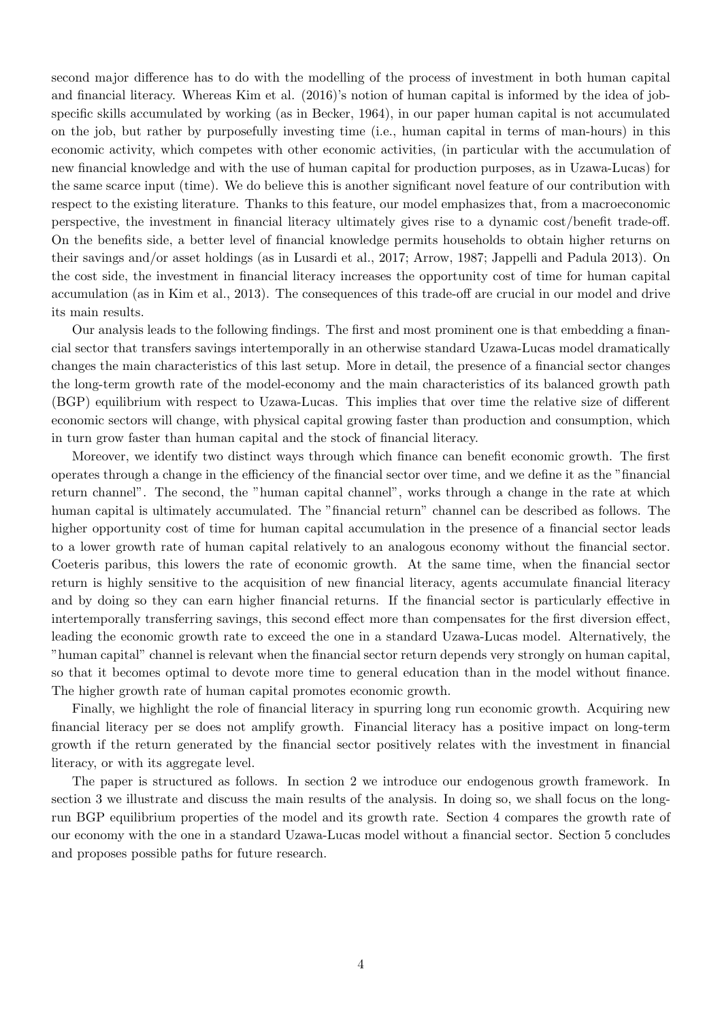second major difference has to do with the modelling of the process of investment in both human capital and financial literacy. Whereas Kim et al. (2016)'s notion of human capital is informed by the idea of jobspecific skills accumulated by working (as in Becker, 1964), in our paper human capital is not accumulated on the job, but rather by purposefully investing time (i.e., human capital in terms of man-hours) in this economic activity, which competes with other economic activities, (in particular with the accumulation of new financial knowledge and with the use of human capital for production purposes, as in Uzawa-Lucas) for the same scarce input (time). We do believe this is another significant novel feature of our contribution with respect to the existing literature. Thanks to this feature, our model emphasizes that, from a macroeconomic perspective, the investment in financial literacy ultimately gives rise to a dynamic cost/benefit trade-off. On the benefits side, a better level of financial knowledge permits households to obtain higher returns on their savings and/or asset holdings (as in Lusardi et al., 2017; Arrow, 1987; Jappelli and Padula 2013). On the cost side, the investment in financial literacy increases the opportunity cost of time for human capital accumulation (as in Kim et al., 2013). The consequences of this trade-off are crucial in our model and drive its main results.

Our analysis leads to the following findings. The first and most prominent one is that embedding a financial sector that transfers savings intertemporally in an otherwise standard Uzawa-Lucas model dramatically changes the main characteristics of this last setup. More in detail, the presence of a financial sector changes the long-term growth rate of the model-economy and the main characteristics of its balanced growth path (BGP) equilibrium with respect to Uzawa-Lucas. This implies that over time the relative size of different economic sectors will change, with physical capital growing faster than production and consumption, which in turn grow faster than human capital and the stock of financial literacy.

Moreover, we identify two distinct ways through which finance can benefit economic growth. The first operates through a change in the efficiency of the financial sector over time, and we define it as the "financial return channel". The second, the "human capital channel", works through a change in the rate at which human capital is ultimately accumulated. The "financial return" channel can be described as follows. The higher opportunity cost of time for human capital accumulation in the presence of a financial sector leads to a lower growth rate of human capital relatively to an analogous economy without the financial sector. Coeteris paribus, this lowers the rate of economic growth. At the same time, when the financial sector return is highly sensitive to the acquisition of new financial literacy, agents accumulate financial literacy and by doing so they can earn higher financial returns. If the financial sector is particularly effective in intertemporally transferring savings, this second effect more than compensates for the first diversion effect, leading the economic growth rate to exceed the one in a standard Uzawa-Lucas model. Alternatively, the "human capital" channel is relevant when the financial sector return depends very strongly on human capital, so that it becomes optimal to devote more time to general education than in the model without finance. The higher growth rate of human capital promotes economic growth.

Finally, we highlight the role of financial literacy in spurring long run economic growth. Acquiring new financial literacy per se does not amplify growth. Financial literacy has a positive impact on long-term growth if the return generated by the financial sector positively relates with the investment in financial literacy, or with its aggregate level.

The paper is structured as follows. In section 2 we introduce our endogenous growth framework. In section 3 we illustrate and discuss the main results of the analysis. In doing so, we shall focus on the longrun BGP equilibrium properties of the model and its growth rate. Section 4 compares the growth rate of our economy with the one in a standard Uzawa-Lucas model without a financial sector. Section 5 concludes and proposes possible paths for future research.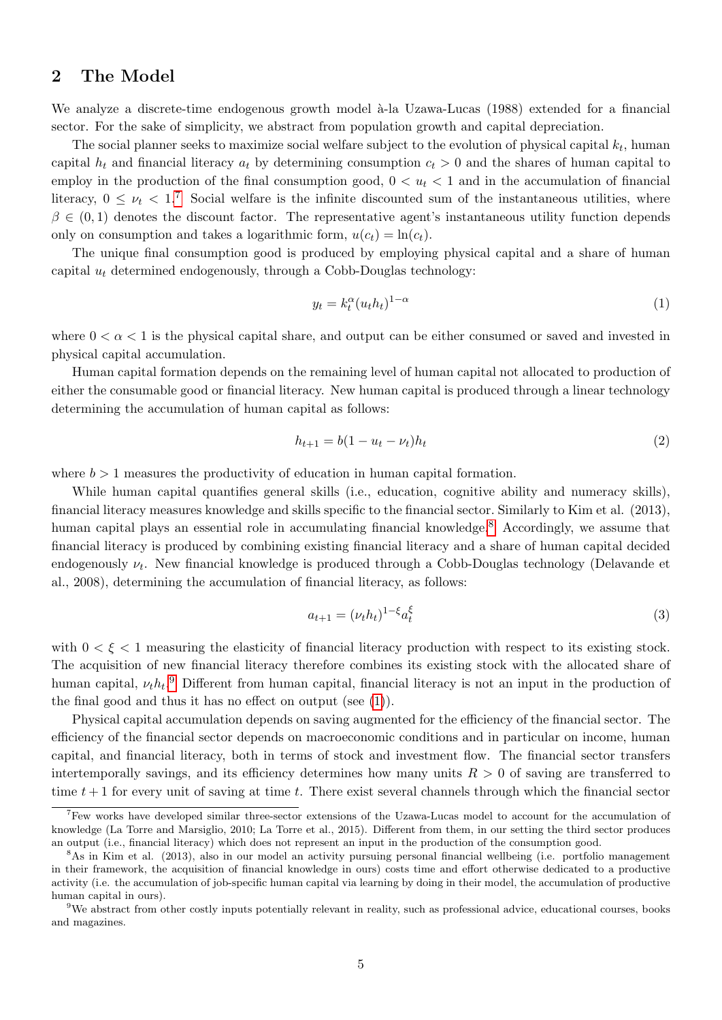## 2 The Model

We analyze a discrete-time endogenous growth model à-la Uzawa-Lucas (1988) extended for a financial sector. For the sake of simplicity, we abstract from population growth and capital depreciation.

The social planner seeks to maximize social welfare subject to the evolution of physical capital  $k_t$ , human capital  $h_t$  and financial literacy  $a_t$  by determining consumption  $c_t > 0$  and the shares of human capital to employ in the production of the final consumption good,  $0 < u_t < 1$  and in the accumulation of financial literacy,  $0 \leq \nu_t < 1$ .<sup>[7](#page-0-0)</sup> Social welfare is the infinite discounted sum of the instantaneous utilities, where  $\beta \in (0,1)$  denotes the discount factor. The representative agent's instantaneous utility function depends only on consumption and takes a logarithmic form,  $u(c_t) = \ln(c_t)$ .

The unique final consumption good is produced by employing physical capital and a share of human capital  $u_t$  determined endogenously, through a Cobb-Douglas technology:

<span id="page-4-0"></span>
$$
y_t = k_t^{\alpha} (u_t h_t)^{1-\alpha} \tag{1}
$$

where  $0 < \alpha < 1$  is the physical capital share, and output can be either consumed or saved and invested in physical capital accumulation.

Human capital formation depends on the remaining level of human capital not allocated to production of either the consumable good or financial literacy. New human capital is produced through a linear technology determining the accumulation of human capital as follows:

<span id="page-4-1"></span>
$$
h_{t+1} = b(1 - u_t - \nu_t)h_t
$$
\n(2)

where  $b > 1$  measures the productivity of education in human capital formation.

While human capital quantifies general skills (i.e., education, cognitive ability and numeracy skills), financial literacy measures knowledge and skills specific to the financial sector. Similarly to Kim et al. (2013), human capital plays an essential role in accumulating financial knowledge.<sup>[8](#page-0-0)</sup> Accordingly, we assume that financial literacy is produced by combining existing financial literacy and a share of human capital decided endogenously  $\nu_t$ . New financial knowledge is produced through a Cobb-Douglas technology (Delavande et al., 2008), determining the accumulation of financial literacy, as follows:

$$
a_{t+1} = (\nu_t h_t)^{1-\xi} a_t^{\xi}
$$
\n(3)

with  $0 \lt \xi \lt 1$  measuring the elasticity of financial literacy production with respect to its existing stock. The acquisition of new financial literacy therefore combines its existing stock with the allocated share of human capital,  $\nu_t h_t$ <sup>[9](#page-0-0)</sup> Different from human capital, financial literacy is not an input in the production of the final good and thus it has no effect on output (see  $(1)$ ).

Physical capital accumulation depends on saving augmented for the efficiency of the financial sector. The efficiency of the financial sector depends on macroeconomic conditions and in particular on income, human capital, and financial literacy, both in terms of stock and investment flow. The financial sector transfers intertemporally savings, and its efficiency determines how many units  $R > 0$  of saving are transferred to time  $t + 1$  for every unit of saving at time t. There exist several channels through which the financial sector

<sup>&</sup>lt;sup>7</sup>Few works have developed similar three-sector extensions of the Uzawa-Lucas model to account for the accumulation of knowledge (La Torre and Marsiglio, 2010; La Torre et al., 2015). Different from them, in our setting the third sector produces an output (i.e., financial literacy) which does not represent an input in the production of the consumption good.

<sup>8</sup>As in Kim et al. (2013), also in our model an activity pursuing personal financial wellbeing (i.e. portfolio management in their framework, the acquisition of financial knowledge in ours) costs time and effort otherwise dedicated to a productive activity (i.e. the accumulation of job-specific human capital via learning by doing in their model, the accumulation of productive human capital in ours).

<sup>9</sup>We abstract from other costly inputs potentially relevant in reality, such as professional advice, educational courses, books and magazines.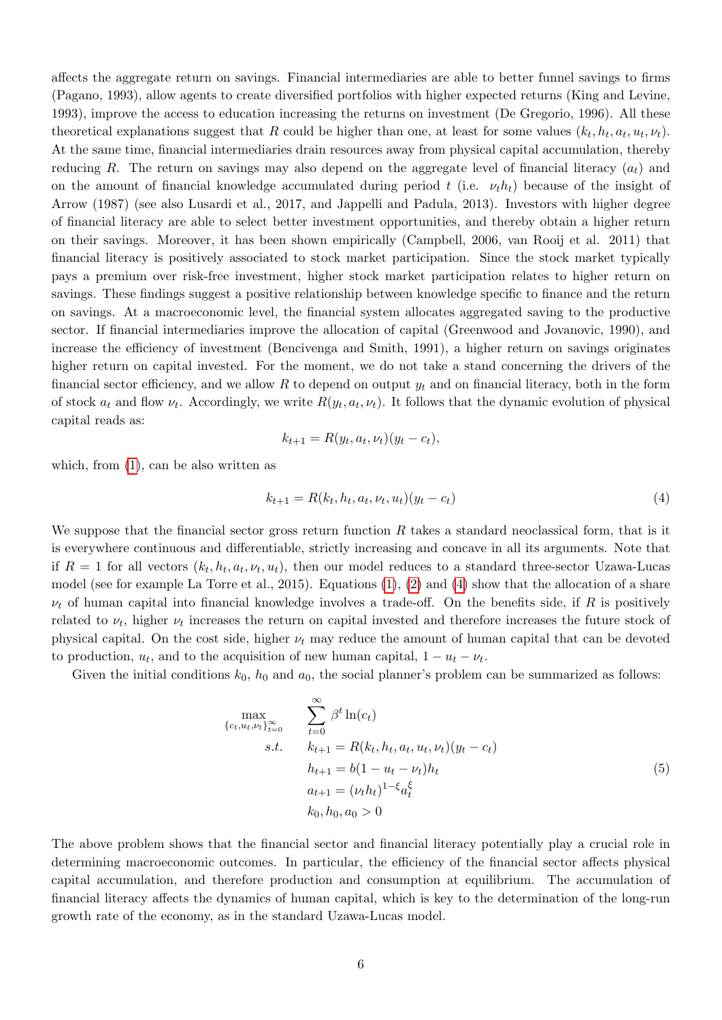affects the aggregate return on savings. Financial intermediaries are able to better funnel savings to firms (Pagano, 1993), allow agents to create diversified portfolios with higher expected returns (King and Levine, 1993), improve the access to education increasing the returns on investment (De Gregorio, 1996). All these theoretical explanations suggest that R could be higher than one, at least for some values  $(k_t, h_t, a_t, u_t, \nu_t)$ . At the same time, financial intermediaries drain resources away from physical capital accumulation, thereby reducing R. The return on savings may also depend on the aggregate level of financial literacy  $(a_t)$  and on the amount of financial knowledge accumulated during period t (i.e.  $\nu_t h_t$ ) because of the insight of Arrow (1987) (see also Lusardi et al., 2017, and Jappelli and Padula, 2013). Investors with higher degree of financial literacy are able to select better investment opportunities, and thereby obtain a higher return on their savings. Moreover, it has been shown empirically (Campbell, 2006, van Rooij et al. 2011) that financial literacy is positively associated to stock market participation. Since the stock market typically pays a premium over risk-free investment, higher stock market participation relates to higher return on savings. These findings suggest a positive relationship between knowledge specific to finance and the return on savings. At a macroeconomic level, the financial system allocates aggregated saving to the productive sector. If financial intermediaries improve the allocation of capital (Greenwood and Jovanovic, 1990), and increase the efficiency of investment (Bencivenga and Smith, 1991), a higher return on savings originates higher return on capital invested. For the moment, we do not take a stand concerning the drivers of the financial sector efficiency, and we allow R to depend on output  $y_t$  and on financial literacy, both in the form of stock  $a_t$  and flow  $\nu_t$ . Accordingly, we write  $R(y_t, a_t, \nu_t)$ . It follows that the dynamic evolution of physical capital reads as:

$$
k_{t+1} = R(y_t, a_t, \nu_t)(y_t - c_t),
$$

which, from  $(1)$ , can be also written as

<span id="page-5-0"></span>
$$
k_{t+1} = R(k_t, h_t, a_t, \nu_t, u_t)(y_t - c_t)
$$
\n<sup>(4)</sup>

We suppose that the financial sector gross return function  $R$  takes a standard neoclassical form, that is it is everywhere continuous and differentiable, strictly increasing and concave in all its arguments. Note that if  $R = 1$  for all vectors  $(k_t, h_t, a_t, v_t, u_t)$ , then our model reduces to a standard three-sector Uzawa-Lucas model (see for example La Torre et al., 2015). Equations [\(1\)](#page-4-0), [\(2\)](#page-4-1) and [\(4\)](#page-5-0) show that the allocation of a share  $\nu_t$  of human capital into financial knowledge involves a trade-off. On the benefits side, if R is positively related to  $\nu_t$ , higher  $\nu_t$  increases the return on capital invested and therefore increases the future stock of physical capital. On the cost side, higher  $\nu_t$  may reduce the amount of human capital that can be devoted to production,  $u_t$ , and to the acquisition of new human capital,  $1 - u_t - v_t$ .

Given the initial conditions  $k_0$ ,  $h_0$  and  $a_0$ , the social planner's problem can be summarized as follows:

<span id="page-5-1"></span>
$$
\max_{\{c_t, u_t, \nu_t\}_{t=0}^{\infty}} \sum_{t=0}^{\infty} \beta^t \ln(c_t)
$$
\n
$$
s.t. \quad k_{t+1} = R(k_t, h_t, a_t, u_t, \nu_t) (y_t - c_t)
$$
\n
$$
h_{t+1} = b(1 - u_t - \nu_t)h_t
$$
\n
$$
a_{t+1} = (\nu_t h_t)^{1-\xi} a_t^{\xi}
$$
\n
$$
k_0, h_0, a_0 > 0
$$
\n(5)

The above problem shows that the financial sector and financial literacy potentially play a crucial role in determining macroeconomic outcomes. In particular, the efficiency of the financial sector affects physical capital accumulation, and therefore production and consumption at equilibrium. The accumulation of financial literacy affects the dynamics of human capital, which is key to the determination of the long-run growth rate of the economy, as in the standard Uzawa-Lucas model.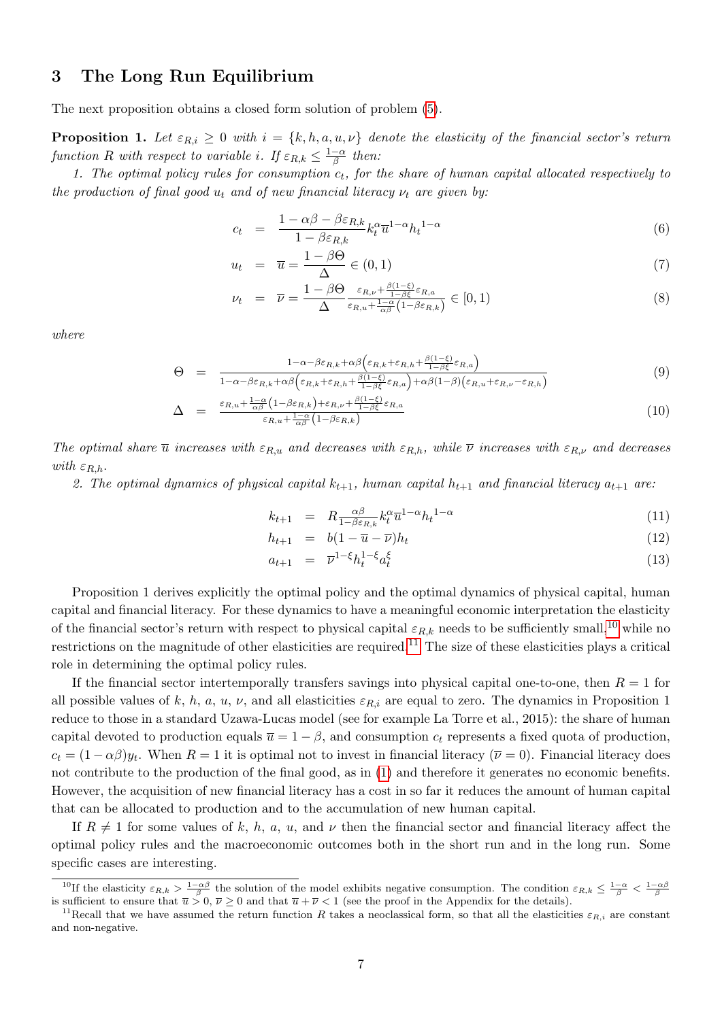## 3 The Long Run Equilibrium

The next proposition obtains a closed form solution of problem [\(5\)](#page-5-1).

**Proposition 1.** Let  $\varepsilon_{R,i} \geq 0$  with  $i = \{k, h, a, u, v\}$  denote the elasticity of the financial sector's return function R with respect to variable i. If  $\varepsilon_{R,k} \leq \frac{1-\alpha}{\beta}$  $\frac{-\alpha}{\beta}$  then:

1. The optimal policy rules for consumption  $c_t$ , for the share of human capital allocated respectively to the production of final good  $u_t$  and of new financial literacy  $\nu_t$  are given by:

<span id="page-6-1"></span>
$$
c_t = \frac{1 - \alpha \beta - \beta \varepsilon_{R,k}}{1 - \beta \varepsilon_{R,k}} k_t^{\alpha} \overline{u}^{1-\alpha} h_t^{1-\alpha}
$$
(6)

$$
u_t = \overline{u} = \frac{1 - \beta \Theta}{\Delta} \in (0, 1)
$$
\n<sup>(7)</sup>

$$
\nu_t = \overline{\nu} = \frac{1 - \beta \Theta}{\Delta} \frac{\varepsilon_{R,\nu} + \frac{\beta(1-\xi)}{1-\beta\xi}\varepsilon_{R,a}}{\varepsilon_{R,u} + \frac{1-\alpha}{\alpha\beta}(1-\beta\varepsilon_{R,k})} \in [0,1)
$$
\n(8)

where

<span id="page-6-0"></span>
$$
\Theta = \frac{1 - \alpha - \beta \varepsilon_{R,k} + \alpha \beta \left( \varepsilon_{R,k} + \varepsilon_{R,h} + \frac{\beta (1 - \xi)}{1 - \beta \xi} \varepsilon_{R,a} \right)}{1 - \alpha - \beta \varepsilon_{R,k} + \alpha \beta \left( \varepsilon_{R,k} + \varepsilon_{R,h} + \frac{\beta (1 - \xi)}{1 - \beta \xi} \varepsilon_{R,a} \right) + \alpha \beta (1 - \beta) \left( \varepsilon_{R,u} + \varepsilon_{R,\nu} - \varepsilon_{R,h} \right)}
$$
(9)

$$
\Delta = \frac{\varepsilon_{R,u} + \frac{1-\alpha}{\alpha\beta} \left(1 - \beta \varepsilon_{R,k}\right) + \varepsilon_{R,\nu} + \frac{\beta(1-\xi)}{1 - \beta \xi} \varepsilon_{R,a}}{\varepsilon_{R,u} + \frac{1-\alpha}{\alpha\beta} \left(1 - \beta \varepsilon_{R,k}\right)} \tag{10}
$$

The optimal share  $\bar{u}$  increases with  $\varepsilon_{R,u}$  and decreases with  $\varepsilon_{R,h}$ , while  $\bar{\nu}$  increases with  $\varepsilon_{R,\nu}$  and decreases with  $\varepsilon_{R,h}$ .

2. The optimal dynamics of physical capital  $k_{t+1}$ , human capital  $h_{t+1}$  and financial literacy  $a_{t+1}$  are:

<span id="page-6-2"></span>
$$
k_{t+1} = R \frac{\alpha \beta}{1 - \beta \varepsilon_{R,k}} k_t^{\alpha} \overline{u}^{1 - \alpha} h_t^{1 - \alpha}
$$
\n
$$
\tag{11}
$$

$$
h_{t+1} = b(1 - \overline{u} - \overline{\nu})h_t \tag{12}
$$

$$
a_{t+1} = \overline{\nu}^{1-\xi} h_t^{1-\xi} a_t^{\xi} \tag{13}
$$

Proposition 1 derives explicitly the optimal policy and the optimal dynamics of physical capital, human capital and financial literacy. For these dynamics to have a meaningful economic interpretation the elasticity of the financial sector's return with respect to physical capital  $\varepsilon_{R,k}$  needs to be sufficiently small,<sup>[10](#page-0-0)</sup> while no restrictions on the magnitude of other elasticities are required.<sup>[11](#page-0-0)</sup> The size of these elasticities plays a critical role in determining the optimal policy rules.

If the financial sector intertemporally transfers savings into physical capital one-to-one, then  $R = 1$  for all possible values of k, h, a, u,  $\nu$ , and all elasticities  $\varepsilon_{R,i}$  are equal to zero. The dynamics in Proposition 1 reduce to those in a standard Uzawa-Lucas model (see for example La Torre et al., 2015): the share of human capital devoted to production equals  $\overline{u} = 1 - \beta$ , and consumption  $c_t$  represents a fixed quota of production,  $c_t = (1 - \alpha \beta) y_t$ . When  $R = 1$  it is optimal not to invest in financial literacy  $(\overline{\nu} = 0)$ . Financial literacy does not contribute to the production of the final good, as in [\(1\)](#page-4-0) and therefore it generates no economic benefits. However, the acquisition of new financial literacy has a cost in so far it reduces the amount of human capital that can be allocated to production and to the accumulation of new human capital.

If  $R \neq 1$  for some values of k, h, a, u, and  $\nu$  then the financial sector and financial literacy affect the optimal policy rules and the macroeconomic outcomes both in the short run and in the long run. Some specific cases are interesting.

<sup>&</sup>lt;sup>10</sup>If the elasticity  $\varepsilon_{R,k} > \frac{1-\alpha\beta}{\beta}$  the solution of the model exhibits negative consumption. The condition  $\varepsilon_{R,k} \leq \frac{1-\alpha}{\beta} < \frac{1-\alpha\beta}{\beta}$ <br>is sufficient to ensure that  $\overline{u} > 0$ ,  $\overline{\nu} \geq 0$  and that  $\overline$ 

<sup>&</sup>lt;sup>11</sup>Recall that we have assumed the return function R takes a neoclassical form, so that all the elasticities  $\varepsilon_{R,i}$  are constant and non-negative.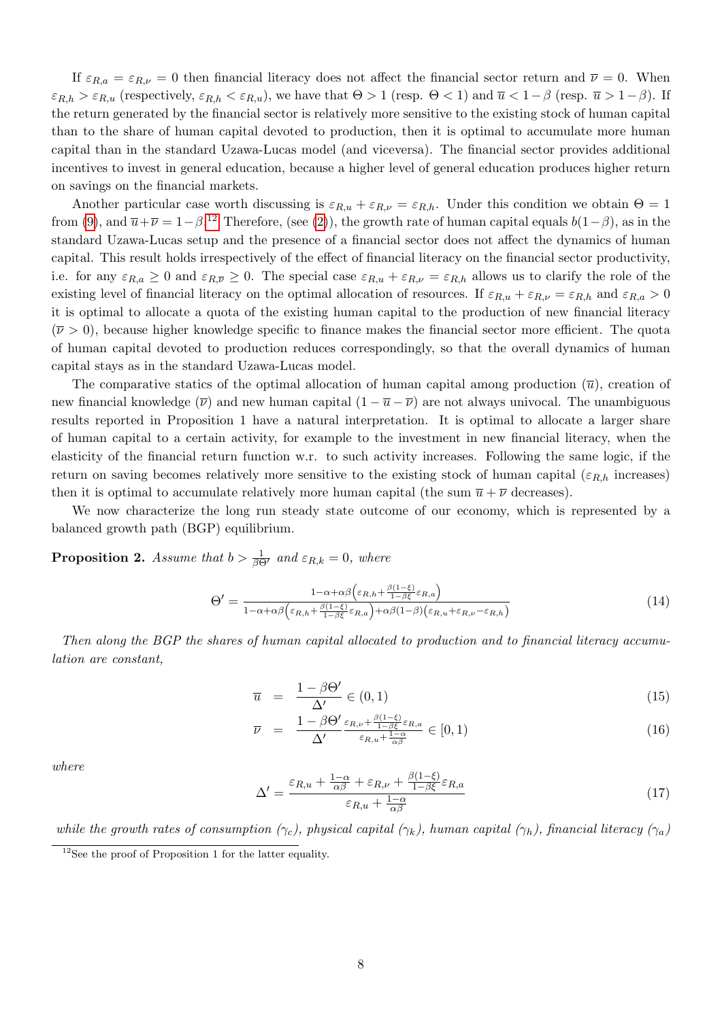If  $\varepsilon_{R,a} = \varepsilon_{R,\nu} = 0$  then financial literacy does not affect the financial sector return and  $\overline{\nu} = 0$ . When  $\varepsilon_{R,h} > \varepsilon_{R,u}$  (respectively,  $\varepsilon_{R,h} < \varepsilon_{R,u}$ ), we have that  $\Theta > 1$  (resp.  $\Theta < 1$ ) and  $\overline{u} < 1-\beta$  (resp.  $\overline{u} > 1-\beta$ ). If the return generated by the financial sector is relatively more sensitive to the existing stock of human capital than to the share of human capital devoted to production, then it is optimal to accumulate more human capital than in the standard Uzawa-Lucas model (and viceversa). The financial sector provides additional incentives to invest in general education, because a higher level of general education produces higher return on savings on the financial markets.

Another particular case worth discussing is  $\varepsilon_{R,u} + \varepsilon_{R,\nu} = \varepsilon_{R,h}$ . Under this condition we obtain  $\Theta = 1$ from [\(9\)](#page-6-0), and  $\overline{u}+\overline{\nu}=1-\beta$ .<sup>[12](#page-0-0)</sup> Therefore, (see [\(2\)](#page-4-1)), the growth rate of human capital equals  $b(1-\beta)$ , as in the standard Uzawa-Lucas setup and the presence of a financial sector does not affect the dynamics of human capital. This result holds irrespectively of the effect of financial literacy on the financial sector productivity, i.e. for any  $\varepsilon_{R,a} \geq 0$  and  $\varepsilon_{R,\overline{\nu}} \geq 0$ . The special case  $\varepsilon_{R,u} + \varepsilon_{R,\nu} = \varepsilon_{R,h}$  allows us to clarify the role of the existing level of financial literacy on the optimal allocation of resources. If  $\varepsilon_{R,u} + \varepsilon_{R,\nu} = \varepsilon_{R,h}$  and  $\varepsilon_{R,a} > 0$ it is optimal to allocate a quota of the existing human capital to the production of new financial literacy  $(\bar{\nu} > 0)$ , because higher knowledge specific to finance makes the financial sector more efficient. The quota of human capital devoted to production reduces correspondingly, so that the overall dynamics of human capital stays as in the standard Uzawa-Lucas model.

The comparative statics of the optimal allocation of human capital among production  $(\overline{u})$ , creation of new financial knowledge  $(\overline{\nu})$  and new human capital  $(1 - \overline{u} - \overline{\nu})$  are not always univocal. The unambiguous results reported in Proposition 1 have a natural interpretation. It is optimal to allocate a larger share of human capital to a certain activity, for example to the investment in new financial literacy, when the elasticity of the financial return function w.r. to such activity increases. Following the same logic, if the return on saving becomes relatively more sensitive to the existing stock of human capital ( $\varepsilon_{R,h}$  increases) then it is optimal to accumulate relatively more human capital (the sum  $\bar{u} + \bar{\nu}$  decreases).

We now characterize the long run steady state outcome of our economy, which is represented by a balanced growth path (BGP) equilibrium.

**Proposition 2.** Assume that  $b > \frac{1}{\beta \Theta'}$  and  $\varepsilon_{R,k} = 0$ , where

<span id="page-7-0"></span>
$$
\Theta' = \frac{1 - \alpha + \alpha \beta \left(\varepsilon_{R,h} + \frac{\beta(1-\xi)}{1-\beta \xi}\varepsilon_{R,a}\right)}{1 - \alpha + \alpha \beta \left(\varepsilon_{R,h} + \frac{\beta(1-\xi)}{1-\beta \xi}\varepsilon_{R,a}\right) + \alpha \beta (1-\beta) \left(\varepsilon_{R,u} + \varepsilon_{R,\nu} - \varepsilon_{R,h}\right)}\tag{14}
$$

Then along the BGP the shares of human capital allocated to production and to financial literacy accumulation are constant,

<span id="page-7-1"></span>
$$
\overline{u} = \frac{1 - \beta \Theta'}{\Delta'} \in (0, 1) \tag{15}
$$

$$
\overline{\nu} = \frac{1 - \beta \Theta'}{\Delta'} \frac{\varepsilon_{R,\nu} + \frac{\beta(1-\xi)}{1 - \beta \xi} \varepsilon_{R,a}}{\varepsilon_{R,u} + \frac{1 - \alpha}{\alpha \beta}} \in [0, 1)
$$
\n(16)

where

$$
\Delta' = \frac{\varepsilon_{R,u} + \frac{1-\alpha}{\alpha\beta} + \varepsilon_{R,\nu} + \frac{\beta(1-\xi)}{1-\beta\xi}\varepsilon_{R,a}}{\varepsilon_{R,u} + \frac{1-\alpha}{\alpha\beta}}
$$
(17)

while the growth rates of consumption  $(\gamma_c)$ , physical capital  $(\gamma_k)$ , human capital  $(\gamma_h)$ , financial literacy  $(\gamma_a)$ 

<sup>12</sup>See the proof of Proposition 1 for the latter equality.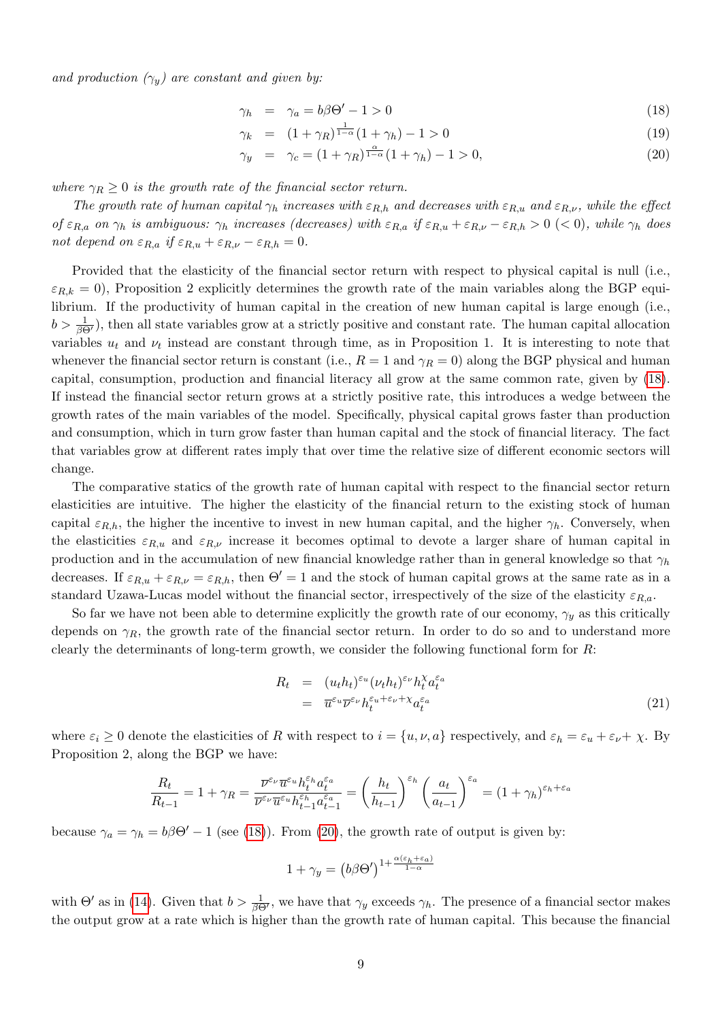and production  $(\gamma_y)$  are constant and given by:

<span id="page-8-0"></span>
$$
\gamma_h = \gamma_a = b\beta\Theta' - 1 > 0 \tag{18}
$$

$$
\gamma_k = (1 + \gamma_R)^{\frac{1}{1 - \alpha}} (1 + \gamma_h) - 1 > 0 \tag{19}
$$

$$
\gamma_y = \gamma_c = (1 + \gamma_R)^{\frac{\alpha}{1 - \alpha}} (1 + \gamma_h) - 1 > 0,\tag{20}
$$

where  $\gamma_R \geq 0$  is the growth rate of the financial sector return.

The growth rate of human capital  $\gamma_h$  increases with  $\varepsilon_{R,h}$  and decreases with  $\varepsilon_{R,u}$  and  $\varepsilon_{R,v}$ , while the effect of  $\varepsilon_{R,a}$  on  $\gamma_h$  is ambiguous:  $\gamma_h$  increases (decreases) with  $\varepsilon_{R,a}$  if  $\varepsilon_{R,u} + \varepsilon_{R,\nu} - \varepsilon_{R,h} > 0$  (< 0), while  $\gamma_h$  does not depend on  $\varepsilon_{R,a}$  if  $\varepsilon_{R,u} + \varepsilon_{R,\nu} - \varepsilon_{R,h} = 0$ .

Provided that the elasticity of the financial sector return with respect to physical capital is null (i.e.,  $\varepsilon_{R,k} = 0$ ), Proposition 2 explicitly determines the growth rate of the main variables along the BGP equilibrium. If the productivity of human capital in the creation of new human capital is large enough (i.e.,  $b > \frac{1}{\beta \Theta'}$ , then all state variables grow at a strictly positive and constant rate. The human capital allocation variables  $u_t$  and  $v_t$  instead are constant through time, as in Proposition 1. It is interesting to note that whenever the financial sector return is constant (i.e.,  $R = 1$  and  $\gamma_R = 0$ ) along the BGP physical and human capital, consumption, production and financial literacy all grow at the same common rate, given by [\(18\)](#page-8-0). If instead the financial sector return grows at a strictly positive rate, this introduces a wedge between the growth rates of the main variables of the model. Specifically, physical capital grows faster than production and consumption, which in turn grow faster than human capital and the stock of financial literacy. The fact that variables grow at different rates imply that over time the relative size of different economic sectors will change.

The comparative statics of the growth rate of human capital with respect to the financial sector return elasticities are intuitive. The higher the elasticity of the financial return to the existing stock of human capital  $\varepsilon_{R,h}$ , the higher the incentive to invest in new human capital, and the higher  $\gamma_h$ . Conversely, when the elasticities  $\varepsilon_{R,u}$  and  $\varepsilon_{R,\nu}$  increase it becomes optimal to devote a larger share of human capital in production and in the accumulation of new financial knowledge rather than in general knowledge so that  $\gamma_h$ decreases. If  $\varepsilon_{R,u} + \varepsilon_{R,\nu} = \varepsilon_{R,h}$ , then  $\Theta' = 1$  and the stock of human capital grows at the same rate as in a standard Uzawa-Lucas model without the financial sector, irrespectively of the size of the elasticity  $\varepsilon_{R,a}$ .

So far we have not been able to determine explicitly the growth rate of our economy,  $\gamma_u$  as this critically depends on  $\gamma_R$ , the growth rate of the financial sector return. In order to do so and to understand more clearly the determinants of long-term growth, we consider the following functional form for  $R$ :

$$
R_t = (u_t h_t)^{\varepsilon_u} (\nu_t h_t)^{\varepsilon_v} h_t^{\chi} a_t^{\varepsilon_a}
$$
  
= 
$$
\overline{u}^{\varepsilon_u} \overline{\nu}^{\varepsilon_v} h_t^{\varepsilon_u + \varepsilon_v + \chi} a_t^{\varepsilon_a}
$$
 (21)

where  $\varepsilon_i \geq 0$  denote the elasticities of R with respect to  $i = \{u, \nu, a\}$  respectively, and  $\varepsilon_h = \varepsilon_u + \varepsilon_v + \chi$ . By Proposition 2, along the BGP we have:

$$
\frac{R_t}{R_{t-1}} = 1 + \gamma_R = \frac{\overline{\nu}^{\varepsilon_\nu} \overline{u}^{\varepsilon_u} h_t^{\varepsilon_h} a_t^{\varepsilon_a}}{\overline{\nu}^{\varepsilon_\nu} \overline{u}^{\varepsilon_u} h_{t-1}^{\varepsilon_h} a_{t-1}^{\varepsilon_a}} = \left(\frac{h_t}{h_{t-1}}\right)^{\varepsilon_h} \left(\frac{a_t}{a_{t-1}}\right)^{\varepsilon_a} = (1 + \gamma_h)^{\varepsilon_h + \varepsilon_a}
$$

because  $\gamma_a = \gamma_h = b\beta\Theta' - 1$  (see [\(18\)](#page-8-0)). From [\(20\)](#page-8-0), the growth rate of output is given by:

$$
1+\gamma_y=\left(b\beta\Theta'\right)^{1+\frac{\alpha(\varepsilon_h+\varepsilon_a)}{1-\alpha}}
$$

with  $\Theta'$  as in [\(14\)](#page-7-0). Given that  $b > \frac{1}{\beta \Theta'}$ , we have that  $\gamma_y$  exceeds  $\gamma_h$ . The presence of a financial sector makes the output grow at a rate which is higher than the growth rate of human capital. This because the financial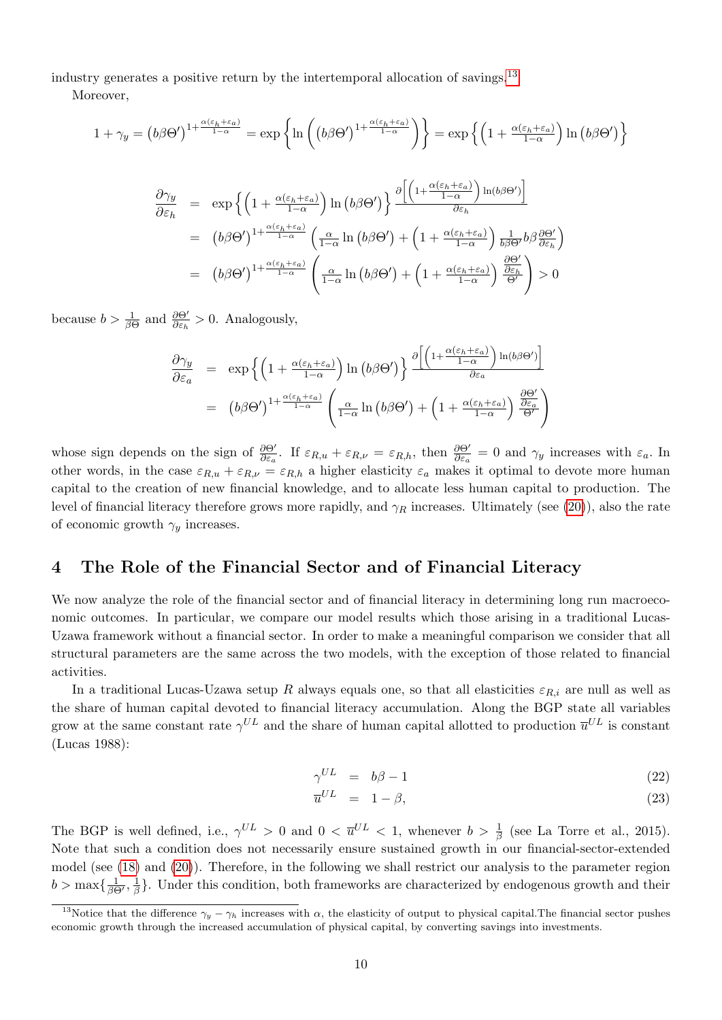industry generates a positive return by the intertemporal allocation of savings.[13](#page-0-0)

Moreover,

$$
1 + \gamma_y = (b\beta\Theta')^{1 + \frac{\alpha(\varepsilon_h + \varepsilon_a)}{1 - \alpha}} = \exp\left\{\ln\left((b\beta\Theta')^{1 + \frac{\alpha(\varepsilon_h + \varepsilon_a)}{1 - \alpha}}\right)\right\} = \exp\left\{\left(1 + \frac{\alpha(\varepsilon_h + \varepsilon_a)}{1 - \alpha}\right)\ln\left(b\beta\Theta'\right)\right\}
$$

$$
\frac{\partial\gamma_y}{\partial\varepsilon_h} = \exp\left\{\left(1 + \frac{\alpha(\varepsilon_h + \varepsilon_a)}{1 - \alpha}\right)\ln\left(b\beta\Theta'\right)\right\} \frac{\partial\left[\left(1 + \frac{\alpha(\varepsilon_h + \varepsilon_a)}{1 - \alpha}\right)\ln\left(b\beta\Theta'\right)\right]}{\partial\varepsilon_h}
$$

$$
= (b\beta\Theta')^{1 + \frac{\alpha(\varepsilon_h + \varepsilon_a)}{1 - \alpha}} \left(\frac{\alpha}{1 - \alpha}\ln\left(b\beta\Theta'\right) + \left(1 + \frac{\alpha(\varepsilon_h + \varepsilon_a)}{1 - \alpha}\right)\frac{1}{b\beta\Theta'}b\beta\frac{\partial\Theta'}{\partial\varepsilon_h}\right)
$$

$$
= (b\beta\Theta')^{1 + \frac{\alpha(\varepsilon_h + \varepsilon_a)}{1 - \alpha}} \left(\frac{\alpha}{1 - \alpha}\ln\left(b\beta\Theta'\right) + \left(1 + \frac{\alpha(\varepsilon_h + \varepsilon_a)}{1 - \alpha}\right)\frac{\partial\Theta'}{\partial\varepsilon_h}\right) > 0
$$

because  $b > \frac{1}{\beta \Theta}$  and  $\frac{\partial \Theta'}{\partial \varepsilon_h} > 0$ . Analogously,

$$
\frac{\partial \gamma_y}{\partial \varepsilon_a} = \exp\left\{ \left( 1 + \frac{\alpha(\varepsilon_h + \varepsilon_a)}{1 - \alpha} \right) \ln \left( b\beta \Theta' \right) \right\} \frac{\partial \left[ \left( 1 + \frac{\alpha(\varepsilon_h + \varepsilon_a)}{1 - \alpha} \right) \ln (b\beta \Theta') \right]}{\partial \varepsilon_a}
$$
\n
$$
= (b\beta \Theta')^{1 + \frac{\alpha(\varepsilon_h + \varepsilon_a)}{1 - \alpha}} \left( \frac{\alpha}{1 - \alpha} \ln \left( b\beta \Theta' \right) + \left( 1 + \frac{\alpha(\varepsilon_h + \varepsilon_a)}{1 - \alpha} \right) \frac{\partial \Theta'}{\partial \varepsilon_a} \right)
$$

whose sign depends on the sign of  $\frac{\partial \Theta'}{\partial \varepsilon_a}$ . If  $\varepsilon_{R,u} + \varepsilon_{R,\nu} = \varepsilon_{R,h}$ , then  $\frac{\partial \Theta'}{\partial \varepsilon_a} = 0$  and  $\gamma_y$  increases with  $\varepsilon_a$ . In other words, in the case  $\varepsilon_{R,u} + \varepsilon_{R,\nu} = \varepsilon_{R,h}$  a higher elasticity  $\varepsilon_a$  makes it optimal to devote more human capital to the creation of new financial knowledge, and to allocate less human capital to production. The level of financial literacy therefore grows more rapidly, and  $\gamma_R$  increases. Ultimately (see [\(20\)](#page-8-0)), also the rate of economic growth  $\gamma_y$  increases.

#### 4 The Role of the Financial Sector and of Financial Literacy

We now analyze the role of the financial sector and of financial literacy in determining long run macroeconomic outcomes. In particular, we compare our model results which those arising in a traditional Lucas-Uzawa framework without a financial sector. In order to make a meaningful comparison we consider that all structural parameters are the same across the two models, with the exception of those related to financial activities.

In a traditional Lucas-Uzawa setup R always equals one, so that all elasticities  $\varepsilon_{R,i}$  are null as well as the share of human capital devoted to financial literacy accumulation. Along the BGP state all variables grow at the same constant rate  $\gamma^{UL}$  and the share of human capital allotted to production  $\overline{u}^{UL}$  is constant (Lucas 1988):

<span id="page-9-0"></span>
$$
\gamma^{UL} = b\beta - 1 \tag{22}
$$

$$
\overline{u}^{UL} = 1 - \beta,\tag{23}
$$

The BGP is well defined, i.e.,  $\gamma^{UL} > 0$  and  $0 < \overline{u}^{UL} < 1$ , whenever  $b > \frac{1}{\beta}$  (see La Torre et al., 2015). Note that such a condition does not necessarily ensure sustained growth in our financial-sector-extended model (see [\(18\)](#page-8-0) and [\(20\)](#page-8-0)). Therefore, in the following we shall restrict our analysis to the parameter region  $b > \max\{\frac{1}{\beta\Theta'}, \frac{1}{\beta}$  $\frac{1}{\beta}$ . Under this condition, both frameworks are characterized by endogenous growth and their

<sup>&</sup>lt;sup>13</sup>Notice that the difference  $\gamma_y - \gamma_h$  increases with  $\alpha$ , the elasticity of output to physical capital. The financial sector pushes economic growth through the increased accumulation of physical capital, by converting savings into investments.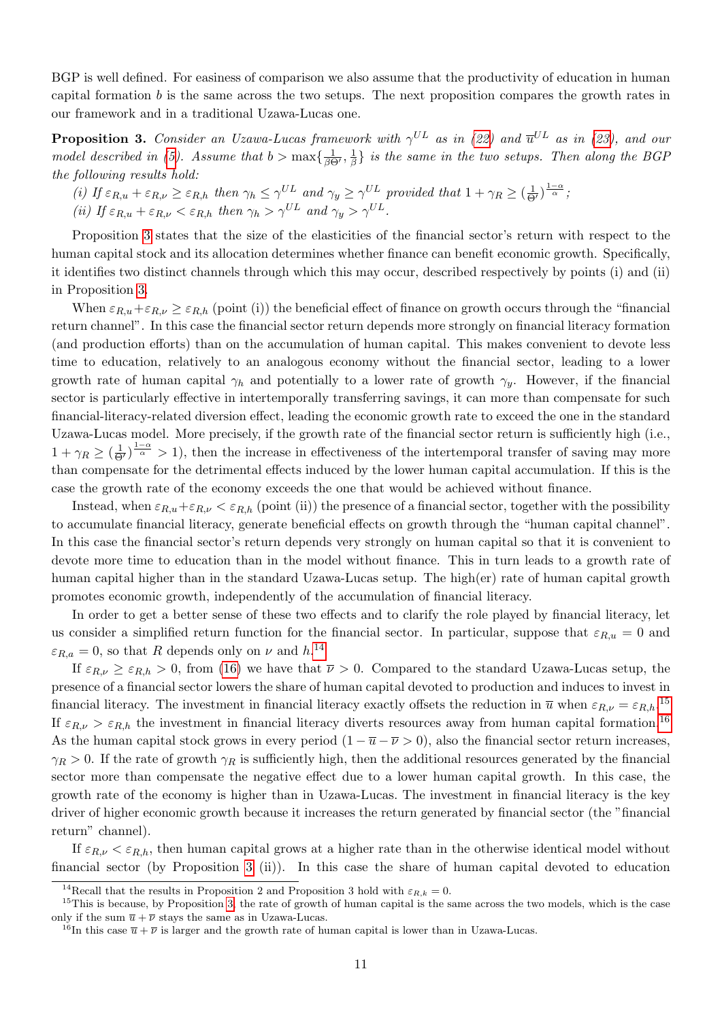BGP is well defined. For easiness of comparison we also assume that the productivity of education in human capital formation b is the same across the two setups. The next proposition compares the growth rates in our framework and in a traditional Uzawa-Lucas one.

<span id="page-10-0"></span>**Proposition 3.** Consider an Uzawa-Lucas framework with  $\gamma^{UL}$  as in [\(22\)](#page-9-0) and  $\overline{u}^{UL}$  as in [\(23\)](#page-9-0), and our model described in [\(5\)](#page-5-1). Assume that  $b > \max\{\frac{1}{\beta \Theta}, \frac{1}{\beta}\}$  $\frac{1}{\beta} \}$  is the same in the two setups. Then along the BGP the following results hold:

(i) If  $\varepsilon_{R,u} + \varepsilon_{R,\nu} \geq \varepsilon_{R,h}$  then  $\gamma_h \leq \gamma^{UL}$  and  $\gamma_y \geq \gamma^{UL}$  provided that  $1 + \gamma_R \geq (\frac{1}{\Theta'})^{\frac{1-\alpha}{\alpha}}$ ;

(ii) If  $\varepsilon_{R,u} + \varepsilon_{R,v} < \varepsilon_{R,h}$  then  $\gamma_h > \gamma^{UL}$  and  $\gamma_u > \gamma^{UL}$ .

Proposition [3](#page-10-0) states that the size of the elasticities of the financial sector's return with respect to the human capital stock and its allocation determines whether finance can benefit economic growth. Specifically, it identifies two distinct channels through which this may occur, described respectively by points (i) and (ii) in Proposition [3.](#page-10-0)

When  $\varepsilon_{R,u}+\varepsilon_{R,v}\geq \varepsilon_{R,h}$  (point (i)) the beneficial effect of finance on growth occurs through the "financial" return channel". In this case the financial sector return depends more strongly on financial literacy formation (and production efforts) than on the accumulation of human capital. This makes convenient to devote less time to education, relatively to an analogous economy without the financial sector, leading to a lower growth rate of human capital  $\gamma_h$  and potentially to a lower rate of growth  $\gamma_y$ . However, if the financial sector is particularly effective in intertemporally transferring savings, it can more than compensate for such financial-literacy-related diversion effect, leading the economic growth rate to exceed the one in the standard Uzawa-Lucas model. More precisely, if the growth rate of the financial sector return is sufficiently high (i.e.,  $1 + \gamma_R \geq (\frac{1}{\Theta'})^{\frac{1-\alpha}{\alpha}} > 1$ , then the increase in effectiveness of the intertemporal transfer of saving may more than compensate for the detrimental effects induced by the lower human capital accumulation. If this is the case the growth rate of the economy exceeds the one that would be achieved without finance.

Instead, when  $\varepsilon_{R,u}+\varepsilon_{R,v} < \varepsilon_{R,h}$  (point (ii)) the presence of a financial sector, together with the possibility to accumulate financial literacy, generate beneficial effects on growth through the "human capital channel". In this case the financial sector's return depends very strongly on human capital so that it is convenient to devote more time to education than in the model without finance. This in turn leads to a growth rate of human capital higher than in the standard Uzawa-Lucas setup. The high(er) rate of human capital growth promotes economic growth, independently of the accumulation of financial literacy.

In order to get a better sense of these two effects and to clarify the role played by financial literacy, let us consider a simplified return function for the financial sector. In particular, suppose that  $\varepsilon_{R,u} = 0$  and  $\varepsilon_{R,a} = 0$ , so that R depends only on  $\nu$  and  $h^{14}$  $h^{14}$  $h^{14}$ 

If  $\varepsilon_{R,\nu} \geq \varepsilon_{R,h} > 0$ , from [\(16\)](#page-7-1) we have that  $\overline{\nu} > 0$ . Compared to the standard Uzawa-Lucas setup, the presence of a financial sector lowers the share of human capital devoted to production and induces to invest in financial literacy. The investment in financial literacy exactly offsets the reduction in  $\bar{u}$  when  $\varepsilon_{R,\nu} = \varepsilon_{R,h}$ .<sup>[15](#page-0-0)</sup> If  $\varepsilon_{R,\nu} > \varepsilon_{R,h}$  the investment in financial literacy diverts resources away from human capital formation.<sup>[16](#page-0-0)</sup> As the human capital stock grows in every period  $(1 - \overline{u} - \overline{\nu} > 0)$ , also the financial sector return increases,  $\gamma_R > 0$ . If the rate of growth  $\gamma_R$  is sufficiently high, then the additional resources generated by the financial sector more than compensate the negative effect due to a lower human capital growth. In this case, the growth rate of the economy is higher than in Uzawa-Lucas. The investment in financial literacy is the key driver of higher economic growth because it increases the return generated by financial sector (the "financial return" channel).

If  $\varepsilon_{R,\nu} < \varepsilon_{R,h}$ , then human capital grows at a higher rate than in the otherwise identical model without financial sector (by Proposition [3](#page-10-0) (ii)). In this case the share of human capital devoted to education

<sup>&</sup>lt;sup>14</sup>Recall that the results in Proposition 2 and Proposition 3 hold with  $\varepsilon_{R,k} = 0$ .

 $15$ This is because, by Proposition [3,](#page-10-0) the rate of growth of human capital is the same across the two models, which is the case only if the sum  $\overline{u} + \overline{\nu}$  stays the same as in Uzawa-Lucas.

<sup>&</sup>lt;sup>16</sup>In this case  $\overline{u} + \overline{\nu}$  is larger and the growth rate of human capital is lower than in Uzawa-Lucas.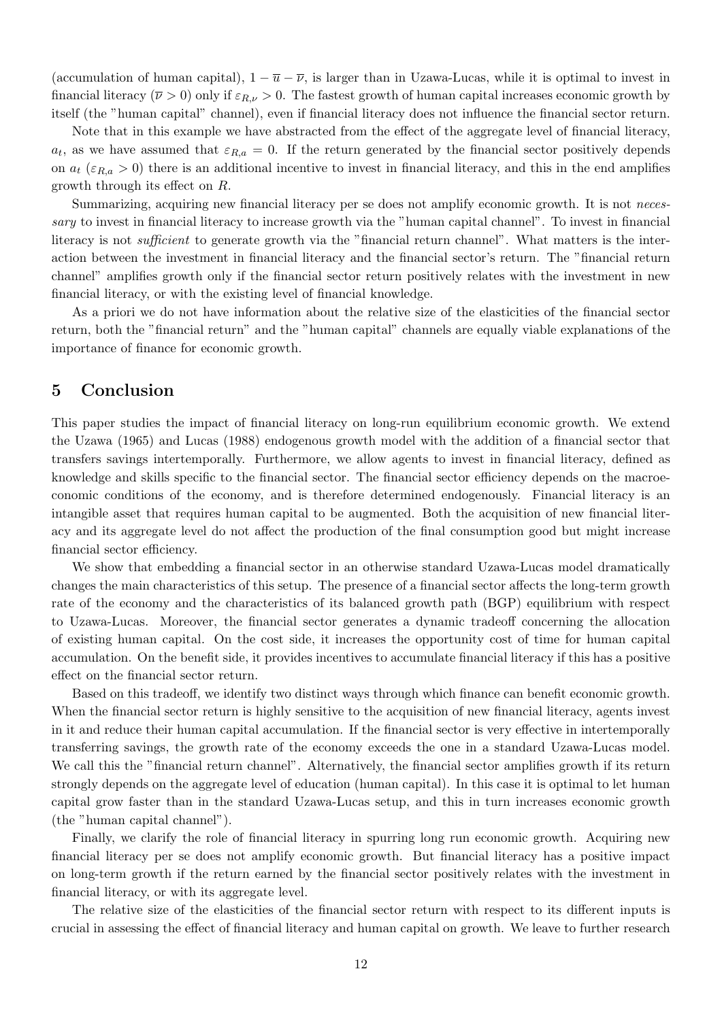(accumulation of human capital),  $1 - \overline{u} - \overline{v}$ , is larger than in Uzawa-Lucas, while it is optimal to invest in financial literacy ( $\overline{\nu} > 0$ ) only if  $\varepsilon_{R,\nu} > 0$ . The fastest growth of human capital increases economic growth by itself (the "human capital" channel), even if financial literacy does not influence the financial sector return.

Note that in this example we have abstracted from the effect of the aggregate level of financial literacy,  $a_t$ , as we have assumed that  $\varepsilon_{R,a} = 0$ . If the return generated by the financial sector positively depends on  $a_t$  ( $\varepsilon_{R,a} > 0$ ) there is an additional incentive to invest in financial literacy, and this in the end amplifies growth through its effect on R.

Summarizing, acquiring new financial literacy per se does not amplify economic growth. It is not necessary to invest in financial literacy to increase growth via the "human capital channel". To invest in financial literacy is not *sufficient* to generate growth via the "financial return channel". What matters is the interaction between the investment in financial literacy and the financial sector's return. The "financial return channel" amplifies growth only if the financial sector return positively relates with the investment in new financial literacy, or with the existing level of financial knowledge.

As a priori we do not have information about the relative size of the elasticities of the financial sector return, both the "financial return" and the "human capital" channels are equally viable explanations of the importance of finance for economic growth.

### 5 Conclusion

This paper studies the impact of financial literacy on long-run equilibrium economic growth. We extend the Uzawa (1965) and Lucas (1988) endogenous growth model with the addition of a financial sector that transfers savings intertemporally. Furthermore, we allow agents to invest in financial literacy, defined as knowledge and skills specific to the financial sector. The financial sector efficiency depends on the macroeconomic conditions of the economy, and is therefore determined endogenously. Financial literacy is an intangible asset that requires human capital to be augmented. Both the acquisition of new financial literacy and its aggregate level do not affect the production of the final consumption good but might increase financial sector efficiency.

We show that embedding a financial sector in an otherwise standard Uzawa-Lucas model dramatically changes the main characteristics of this setup. The presence of a financial sector affects the long-term growth rate of the economy and the characteristics of its balanced growth path (BGP) equilibrium with respect to Uzawa-Lucas. Moreover, the financial sector generates a dynamic tradeoff concerning the allocation of existing human capital. On the cost side, it increases the opportunity cost of time for human capital accumulation. On the benefit side, it provides incentives to accumulate financial literacy if this has a positive effect on the financial sector return.

Based on this tradeoff, we identify two distinct ways through which finance can benefit economic growth. When the financial sector return is highly sensitive to the acquisition of new financial literacy, agents invest in it and reduce their human capital accumulation. If the financial sector is very effective in intertemporally transferring savings, the growth rate of the economy exceeds the one in a standard Uzawa-Lucas model. We call this the "financial return channel". Alternatively, the financial sector amplifies growth if its return strongly depends on the aggregate level of education (human capital). In this case it is optimal to let human capital grow faster than in the standard Uzawa-Lucas setup, and this in turn increases economic growth (the "human capital channel").

Finally, we clarify the role of financial literacy in spurring long run economic growth. Acquiring new financial literacy per se does not amplify economic growth. But financial literacy has a positive impact on long-term growth if the return earned by the financial sector positively relates with the investment in financial literacy, or with its aggregate level.

The relative size of the elasticities of the financial sector return with respect to its different inputs is crucial in assessing the effect of financial literacy and human capital on growth. We leave to further research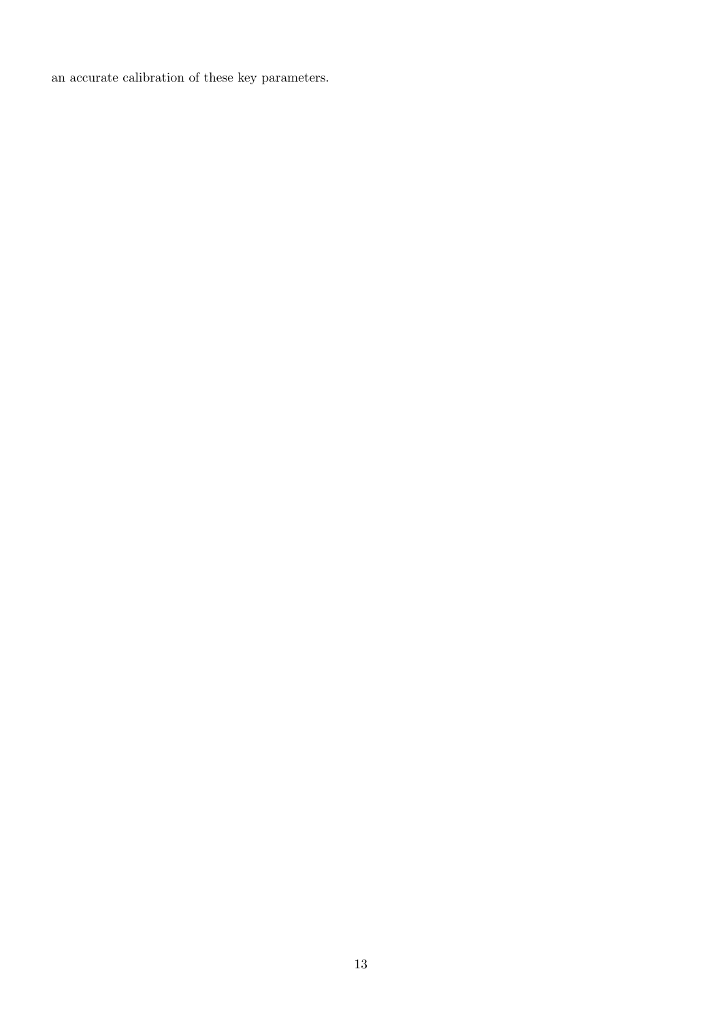an accurate calibration of these key parameters.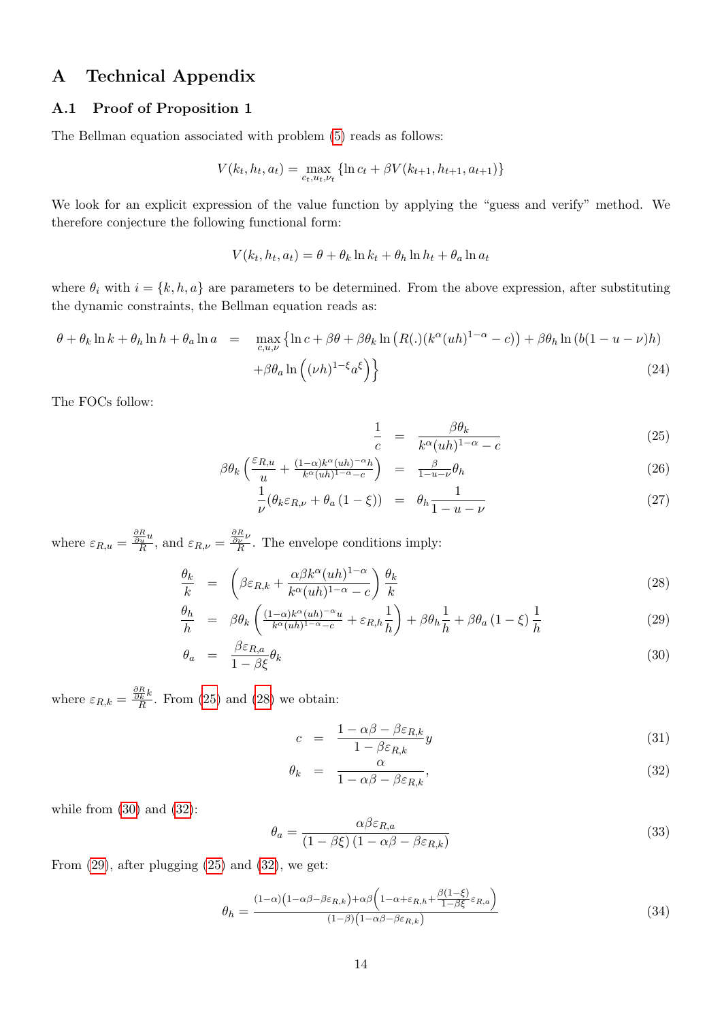# A Technical Appendix

#### A.1 Proof of Proposition 1

The Bellman equation associated with problem [\(5\)](#page-5-1) reads as follows:

$$
V(k_t, h_t, a_t) = \max_{c_t, u_t, v_t} \{ \ln c_t + \beta V(k_{t+1}, h_{t+1}, a_{t+1}) \}
$$

We look for an explicit expression of the value function by applying the "guess and verify" method. We therefore conjecture the following functional form:

$$
V(k_t, h_t, a_t) = \theta + \theta_k \ln k_t + \theta_h \ln h_t + \theta_a \ln a_t
$$

where  $\theta_i$  with  $i = \{k, h, a\}$  are parameters to be determined. From the above expression, after substituting the dynamic constraints, the Bellman equation reads as:

<span id="page-13-5"></span>
$$
\theta + \theta_k \ln k + \theta_h \ln h + \theta_a \ln a = \max_{c, u, v} \{ \ln c + \beta \theta + \beta \theta_k \ln (R(.) (k^{\alpha} (uh)^{1-\alpha} - c)) + \beta \theta_h \ln (b(1 - u - v)h) + \beta \theta_a \ln ((\nu h)^{1-\xi} a^{\xi}) \}
$$
\n(24)

The FOCs follow:

<span id="page-13-0"></span>
$$
\frac{1}{c} = \frac{\beta \theta_k}{k^{\alpha} (uh)^{1-\alpha} - c} \tag{25}
$$

$$
\beta \theta_k \left( \frac{\varepsilon_{R,u}}{u} + \frac{(1-\alpha)k^{\alpha}(uh)^{-\alpha}h}{k^{\alpha}(uh)^{1-\alpha}-c} \right) = \frac{\beta}{1-u-\nu} \theta_h \tag{26}
$$

$$
\frac{1}{\nu}(\theta_k \varepsilon_{R,\nu} + \theta_a (1 - \xi)) = \theta_h \frac{1}{1 - u - \nu} \tag{27}
$$

where  $\varepsilon_{R,u} = \frac{\frac{\partial R}{\partial u}u}{R}$ , and  $\varepsilon_{R,\nu} = \frac{\frac{\partial R}{\partial \nu}\nu}{R}$ . The envelope conditions imply:

<span id="page-13-1"></span>
$$
\frac{\theta_k}{k} = \left(\beta \varepsilon_{R,k} + \frac{\alpha \beta k^{\alpha} (uh)^{1-\alpha}}{k^{\alpha} (uh)^{1-\alpha} - c}\right) \frac{\theta_k}{k}
$$
\n(28)

$$
\frac{\theta_h}{h} = \beta \theta_k \left( \frac{(1-\alpha)k^{\alpha}(uh)^{-\alpha}u}{k^{\alpha}(uh)^{1-\alpha}-c} + \varepsilon_{R,h} \frac{1}{h} \right) + \beta \theta_h \frac{1}{h} + \beta \theta_a (1-\xi) \frac{1}{h}
$$
\n(29)

$$
\theta_a = \frac{\beta \varepsilon_{R,a}}{1 - \beta \xi} \theta_k \tag{30}
$$

where  $\varepsilon_{R,k} = \frac{\frac{\partial R}{\partial k}k}{R}$ . From [\(25\)](#page-13-0) and [\(28\)](#page-13-1) we obtain:

<span id="page-13-2"></span>
$$
c = \frac{1 - \alpha \beta - \beta \varepsilon_{R,k}}{1 - \beta \varepsilon_{R,k}} y \tag{31}
$$

$$
\theta_k = \frac{\alpha}{1 - \alpha \beta - \beta \varepsilon_{R,k}},\tag{32}
$$

while from  $(30)$  and  $(32)$ :

<span id="page-13-3"></span>
$$
\theta_a = \frac{\alpha \beta \varepsilon_{R,a}}{(1 - \beta \xi) (1 - \alpha \beta - \beta \varepsilon_{R,k})}
$$
(33)

From  $(29)$ , after plugging  $(25)$  and  $(32)$ , we get:

<span id="page-13-4"></span>
$$
\theta_h = \frac{(1-\alpha)\left(1-\alpha\beta - \beta\epsilon_{R,k}\right) + \alpha\beta\left(1-\alpha + \epsilon_{R,h} + \frac{\beta(1-\xi)}{1-\beta\xi}\epsilon_{R,a}\right)}{(1-\beta)\left(1-\alpha\beta - \beta\epsilon_{R,k}\right)}\tag{34}
$$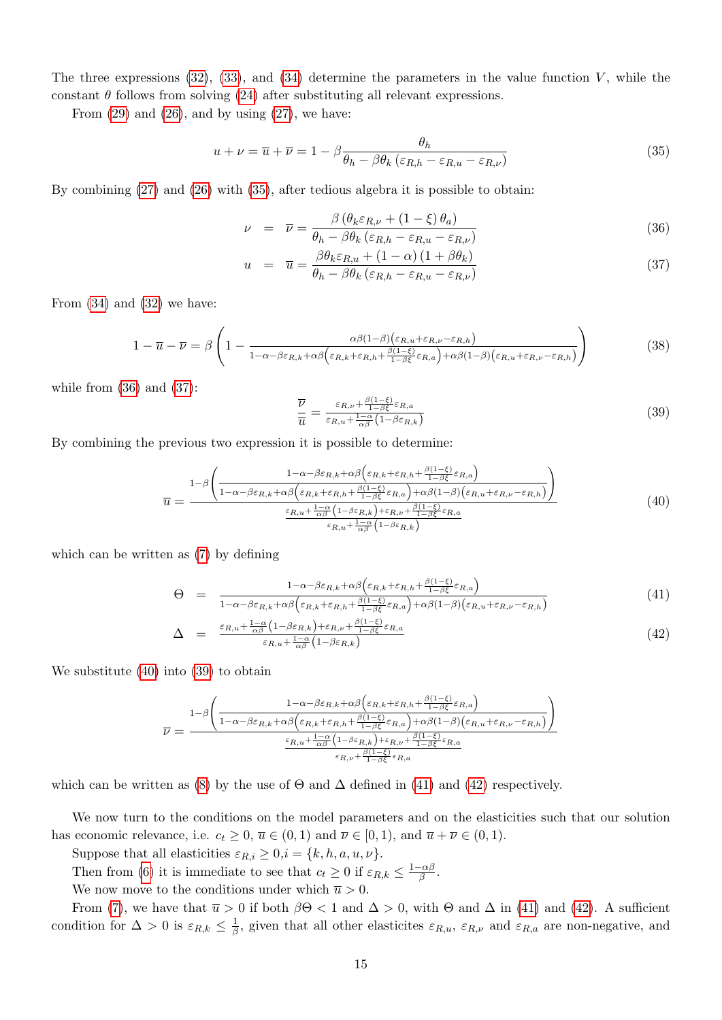The three expressions  $(32)$ ,  $(33)$ , and  $(34)$  determine the parameters in the value function V, while the constant  $\theta$  follows from solving [\(24\)](#page-13-5) after substituting all relevant expressions.

From  $(29)$  and  $(26)$ , and by using  $(27)$ , we have:

<span id="page-14-0"></span>
$$
u + \nu = \overline{u} + \overline{\nu} = 1 - \beta \frac{\theta_h}{\theta_h - \beta \theta_k \left(\varepsilon_{R,h} - \varepsilon_{R,u} - \varepsilon_{R,\nu}\right)}
$$
(35)

By combining [\(27\)](#page-13-0) and [\(26\)](#page-13-0) with [\(35\)](#page-14-0), after tedious algebra it is possible to obtain:

<span id="page-14-1"></span>
$$
\nu = \overline{\nu} = \frac{\beta (\theta_k \varepsilon_{R,\nu} + (1 - \xi) \theta_a)}{\theta_h - \beta \theta_k (\varepsilon_{R,h} - \varepsilon_{R,u} - \varepsilon_{R,\nu})}
$$
(36)

$$
u = \overline{u} = \frac{\beta \theta_k \varepsilon_{R,u} + (1 - \alpha) (1 + \beta \theta_k)}{\theta_h - \beta \theta_k (\varepsilon_{R,h} - \varepsilon_{R,u} - \varepsilon_{R,v})}
$$
(37)

From  $(34)$  and  $(32)$  we have:

<span id="page-14-5"></span>
$$
1 - \overline{u} - \overline{\nu} = \beta \left( 1 - \frac{\alpha \beta (1 - \beta) (\varepsilon_{R,u} + \varepsilon_{R,\nu} - \varepsilon_{R,h})}{1 - \alpha - \beta \varepsilon_{R,k} + \alpha \beta (\varepsilon_{R,k} + \varepsilon_{R,h} + \frac{\beta (1 - \xi)}{1 - \beta \varepsilon} \varepsilon_{R,a}) + \alpha \beta (1 - \beta) (\varepsilon_{R,u} + \varepsilon_{R,\nu} - \varepsilon_{R,h})} \right)
$$
(38)

while from  $(36)$  and  $(37)$ :

<span id="page-14-3"></span>
$$
\frac{\overline{\nu}}{\overline{u}} = \frac{\varepsilon_{R,\nu} + \frac{\beta(1-\xi)}{1-\beta\xi}\varepsilon_{R,a}}{\varepsilon_{R,u} + \frac{1-\alpha}{\alpha\beta}(1-\beta\varepsilon_{R,k})}
$$
(39)

By combining the previous two expression it is possible to determine:

<span id="page-14-2"></span>
$$
\overline{u} = \frac{1-\beta \left( \frac{1-\alpha-\beta \varepsilon_{R,k} + \alpha \beta \left( \varepsilon_{R,k} + \varepsilon_{R,h} + \frac{\beta(1-\xi)}{1-\beta \xi} \varepsilon_{R,a} \right)}{1-\alpha-\beta \varepsilon_{R,k} + \alpha \beta \left( \varepsilon_{R,k} + \varepsilon_{R,h} + \frac{\beta(1-\xi)}{1-\beta \xi} \varepsilon_{R,a} \right) + \alpha \beta (1-\beta) \left( \varepsilon_{R,u} + \varepsilon_{R,\nu} - \varepsilon_{R,h} \right)}{\varepsilon_{R,u} + \frac{1-\alpha}{\alpha \beta} \left( 1-\beta \varepsilon_{R,k} \right) + \varepsilon_{R,\nu} + \frac{\beta(1-\xi)}{1-\beta \xi} \varepsilon_{R,a}} \tag{40}
$$

which can be written as [\(7\)](#page-6-1) by defining

<span id="page-14-4"></span>
$$
\Theta = \frac{1 - \alpha - \beta \varepsilon_{R,k} + \alpha \beta \left( \varepsilon_{R,k} + \varepsilon_{R,h} + \frac{\beta (1 - \xi)}{1 - \beta \xi} \varepsilon_{R,a} \right)}{1 - \alpha - \beta \varepsilon_{R,k} + \alpha \beta \left( \varepsilon_{R,k} + \varepsilon_{R,h} + \frac{\beta (1 - \xi)}{1 - \beta \xi} \varepsilon_{R,a} \right) + \alpha \beta (1 - \beta) \left( \varepsilon_{R,u} + \varepsilon_{R,\nu} - \varepsilon_{R,h} \right)} \tag{41}
$$

$$
\Delta = \frac{\varepsilon_{R,u} + \frac{1-\alpha}{\alpha\beta} \left(1 - \beta \varepsilon_{R,k}\right) + \varepsilon_{R,\nu} + \frac{\beta(1-\xi)}{1 - \beta \xi} \varepsilon_{R,a}}{\varepsilon_{R,u} + \frac{1-\alpha}{\alpha\beta} \left(1 - \beta \varepsilon_{R,k}\right)} \tag{42}
$$

We substitute [\(40\)](#page-14-2) into [\(39\)](#page-14-3) to obtain

$$
\overline{\nu} = \frac{1-\beta\Biggl(\frac{1-\alpha-\beta\varepsilon_{R,k}+\alpha\beta\Bigl(\varepsilon_{R,k}+\varepsilon_{R,h}+\frac{\beta(1-\xi)}{1-\beta\xi}\varepsilon_{R,a}\Bigr)}{1-\alpha-\beta\varepsilon_{R,k}+\alpha\beta\Bigl(\varepsilon_{R,k}+\varepsilon_{R,h}+\frac{\beta(1-\xi)}{1-\beta\xi}\varepsilon_{R,a}\Bigr)+\alpha\beta(1-\beta)\Bigl(\varepsilon_{R,u}+\varepsilon_{R,\nu}-\varepsilon_{R,h}\Bigr)}\Biggr)}{\frac{\varepsilon_{R,u}+\frac{1-\alpha}{\alpha\beta}\Bigl(1-\beta\varepsilon_{R,k}\Bigr)+\varepsilon_{R,\nu}+\frac{\beta(1-\xi)}{1-\beta\xi}\varepsilon_{R,a}}{\varepsilon_{R,\nu}+\frac{\beta(1-\xi)}{1-\beta\xi}\varepsilon_{R,a}}}
$$

which can be written as [\(8\)](#page-6-1) by the use of  $\Theta$  and  $\Delta$  defined in [\(41\)](#page-14-4) and [\(42\)](#page-14-4) respectively.

We now turn to the conditions on the model parameters and on the elasticities such that our solution has economic relevance, i.e.  $c_t \geq 0$ ,  $\overline{u} \in (0,1)$  and  $\overline{\nu} \in [0,1)$ , and  $\overline{u} + \overline{\nu} \in (0,1)$ .

Suppose that all elasticities  $\varepsilon_{R,i} \geq 0, i = \{k, h, a, u, v\}.$ 

Then from [\(6\)](#page-6-1) it is immediate to see that  $c_t \geq 0$  if  $\varepsilon_{R,k} \leq \frac{1-\alpha\beta}{\beta}$  $\frac{\mathbf{p} \cdot \mathbf{p}}{\beta}$  .

We now move to the conditions under which  $\overline{u} > 0$ .

From [\(7\)](#page-6-1), we have that  $\bar{u} > 0$  if both  $\beta\Theta < 1$  and  $\Delta > 0$ , with  $\Theta$  and  $\Delta$  in [\(41\)](#page-14-4) and [\(42\)](#page-14-4). A sufficient condition for  $\Delta > 0$  is  $\varepsilon_{R,k} \leq \frac{1}{\beta}$  $\frac{1}{\beta}$ , given that all other elasticites  $\varepsilon_{R,u}$ ,  $\varepsilon_{R,\nu}$  and  $\varepsilon_{R,a}$  are non-negative, and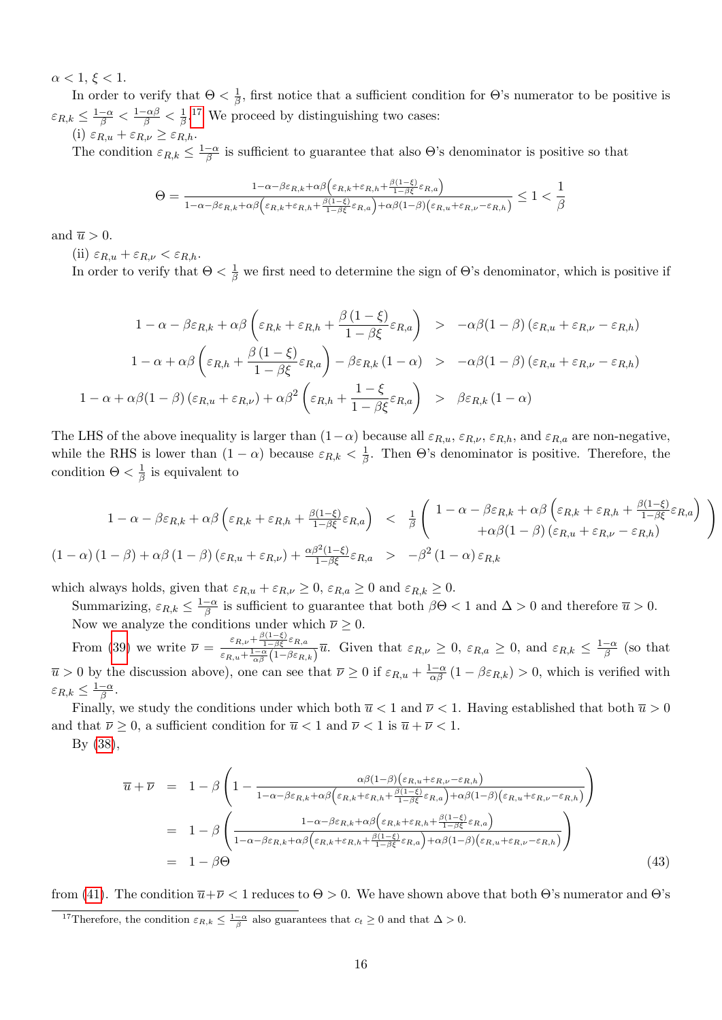$\alpha < 1, \xi < 1.$ 

In order to verify that  $\Theta < \frac{1}{\beta}$  $\frac{1}{\beta}$ , first notice that a sufficient condition for  $\Theta$ 's numerator to be positive is  $\varepsilon_{R,k} \leq \frac{1-\alpha}{\beta} < \frac{1-\alpha\beta}{\beta} < \frac{1}{\beta}$  $\frac{1}{\beta}$ .<sup>[17](#page-0-0)</sup> We proceed by distinguishing two cases:

(i)  $\varepsilon_{R,u} + \varepsilon_{R,\nu} \geq \varepsilon_{R,h}.$ 

The condition  $\varepsilon_{R,k} \leq \frac{1-\alpha}{\beta}$  $\frac{-\alpha}{\beta}$  is sufficient to guarantee that also  $\Theta$ 's denominator is positive so that

$$
\Theta = \frac{1 - \alpha - \beta \varepsilon_{R,k} + \alpha \beta \left( \varepsilon_{R,k} + \varepsilon_{R,h} + \frac{\beta (1-\xi)}{1-\beta \xi} \varepsilon_{R,a} \right)}{1 - \alpha - \beta \varepsilon_{R,k} + \alpha \beta \left( \varepsilon_{R,k} + \varepsilon_{R,h} + \frac{\beta (1-\xi)}{1-\beta \xi} \varepsilon_{R,a} \right) + \alpha \beta (1-\beta) \left( \varepsilon_{R,u} + \varepsilon_{R,\nu} - \varepsilon_{R,h} \right)} \le 1 < \frac{1}{\beta}
$$

and  $\overline{u} > 0$ .

(ii)  $\varepsilon_{R,u} + \varepsilon_{R,\nu} < \varepsilon_{R,h}$ .

In order to verify that  $\Theta < \frac{1}{\beta}$  we first need to determine the sign of  $\Theta$ 's denominator, which is positive if

$$
1 - \alpha - \beta \varepsilon_{R,k} + \alpha \beta \left( \varepsilon_{R,k} + \varepsilon_{R,h} + \frac{\beta (1 - \xi)}{1 - \beta \xi} \varepsilon_{R,a} \right) > -\alpha \beta (1 - \beta) \left( \varepsilon_{R,u} + \varepsilon_{R,\nu} - \varepsilon_{R,h} \right)
$$
  

$$
1 - \alpha + \alpha \beta \left( \varepsilon_{R,h} + \frac{\beta (1 - \xi)}{1 - \beta \xi} \varepsilon_{R,a} \right) - \beta \varepsilon_{R,k} (1 - \alpha) > -\alpha \beta (1 - \beta) \left( \varepsilon_{R,u} + \varepsilon_{R,\nu} - \varepsilon_{R,h} \right)
$$
  

$$
1 - \alpha + \alpha \beta (1 - \beta) \left( \varepsilon_{R,u} + \varepsilon_{R,\nu} \right) + \alpha \beta^2 \left( \varepsilon_{R,h} + \frac{1 - \xi}{1 - \beta \xi} \varepsilon_{R,a} \right) > \beta \varepsilon_{R,k} (1 - \alpha)
$$

The LHS of the above inequality is larger than  $(1-\alpha)$  because all  $\varepsilon_{R,u}$ ,  $\varepsilon_{R,\nu}$ ,  $\varepsilon_{R,h}$ , and  $\varepsilon_{R,a}$  are non-negative, while the RHS is lower than  $(1 - \alpha)$  because  $\varepsilon_{R,k} < \frac{1}{\beta}$  $\frac{1}{\beta}$ . Then  $\Theta$ 's denominator is positive. Therefore, the condition  $\Theta < \frac{1}{\beta}$  $\frac{1}{\beta}$  is equivalent to

$$
1 - \alpha - \beta \varepsilon_{R,k} + \alpha \beta \left( \varepsilon_{R,k} + \varepsilon_{R,h} + \frac{\beta(1-\xi)}{1-\beta \xi} \varepsilon_{R,a} \right) + \alpha \beta (1-\beta) \left( \varepsilon_{R,u} + \varepsilon_{R,h} \right) + \alpha \beta (1-\beta) \left( \varepsilon_{R,u} + \varepsilon_{R,v} - \varepsilon_{R,h} \right)
$$
\n
$$
(1 - \alpha) (1 - \beta) + \alpha \beta (1 - \beta) \left( \varepsilon_{R,u} + \varepsilon_{R,v} \right) + \frac{\alpha \beta^2 (1-\xi)}{1-\beta \xi} \varepsilon_{R,a} > -\beta^2 (1 - \alpha) \varepsilon_{R,k}
$$

which always holds, given that  $\varepsilon_{R,u} + \varepsilon_{R,\nu} \ge 0$ ,  $\varepsilon_{R,a} \ge 0$  and  $\varepsilon_{R,k} \ge 0$ .

Summarizing,  $\varepsilon_{R,k} \leq \frac{1-\alpha}{\beta}$  $\frac{-\alpha}{\beta}$  is sufficient to guarantee that both  $\beta\Theta < 1$  and  $\Delta > 0$  and therefore  $\overline{u} > 0$ . Now we analyze the conditions under which  $\overline{\nu} \geq 0$ .

From [\(39\)](#page-14-3) we write  $\bar{\nu} = \frac{\varepsilon_{R,\nu} + \frac{\beta(1-\xi)}{1-\beta \xi} \varepsilon_{R,\alpha}}{\frac{1-\alpha}{1-\alpha} \varepsilon_{R,\alpha}}$  $\frac{\varepsilon_{R,\nu}+\frac{1-\alpha}{1-\beta\xi}\varepsilon_{R,a}}{\varepsilon_{R,\nu}+\frac{1-\alpha}{\beta}(1-\beta\varepsilon_{R,k})}\overline{u}$ . Given that  $\varepsilon_{R,\nu}\geq 0$ ,  $\varepsilon_{R,a}\geq 0$ , and  $\varepsilon_{R,k}\leq \frac{1-\alpha}{\beta}$  $\frac{-\alpha}{\beta}$  (so that  $\overline{u} > 0$  by the discussion above), one can see that  $\overline{\nu} \ge 0$  if  $\varepsilon_{R,u} + \frac{1-\alpha}{\alpha\beta}(1-\beta\varepsilon_{R,k}) > 0$ , which is verified with  $\varepsilon_{R,k} \leq \frac{1-\alpha}{\beta}$  $\frac{-\alpha}{\beta}$  .

Finally, we study the conditions under which both  $\overline{u}$  < 1 and  $\overline{\nu}$  < 1. Having established that both  $\overline{u}$  > 0 and that  $\overline{\nu} \geq 0$ , a sufficient condition for  $\overline{u} < 1$  and  $\overline{\nu} < 1$  is  $\overline{u} + \overline{\nu} < 1$ .

By [\(38\)](#page-14-5),

<span id="page-15-0"></span>
$$
\overline{u} + \overline{\nu} = 1 - \beta \left( 1 - \frac{\alpha \beta (1 - \beta) (\varepsilon_{R,u} + \varepsilon_{R,\nu} - \varepsilon_{R,h})}{1 - \alpha - \beta \varepsilon_{R,k} + \alpha \beta (\varepsilon_{R,k} + \varepsilon_{R,h} + \frac{\beta (1 - \xi)}{1 - \beta \xi} \varepsilon_{R,a}) + \alpha \beta (1 - \beta) (\varepsilon_{R,u} + \varepsilon_{R,\nu} - \varepsilon_{R,h})} \right)
$$
\n
$$
= 1 - \beta \left( \frac{1 - \alpha - \beta \varepsilon_{R,k} + \alpha \beta (\varepsilon_{R,k} + \varepsilon_{R,h} + \frac{\beta (1 - \xi)}{1 - \beta \xi} \varepsilon_{R,a})}{1 - \alpha - \beta \varepsilon_{R,k} + \alpha \beta (\varepsilon_{R,k} + \varepsilon_{R,h} + \frac{\beta (1 - \xi)}{1 - \beta \xi} \varepsilon_{R,a}) + \alpha \beta (1 - \beta) (\varepsilon_{R,u} + \varepsilon_{R,\nu} - \varepsilon_{R,h})} \right)
$$
\n
$$
= 1 - \beta \Theta \tag{43}
$$

from [\(41\)](#page-14-4). The condition  $\overline{u}+\overline{\nu}<1$  reduces to  $\Theta>0$ . We have shown above that both  $\Theta$ 's numerator and  $\Theta$ 's

<sup>&</sup>lt;sup>17</sup>Therefore, the condition  $\varepsilon_{R,k} \leq \frac{1-\alpha}{\beta}$  also guarantees that  $c_t \geq 0$  and that  $\Delta > 0$ .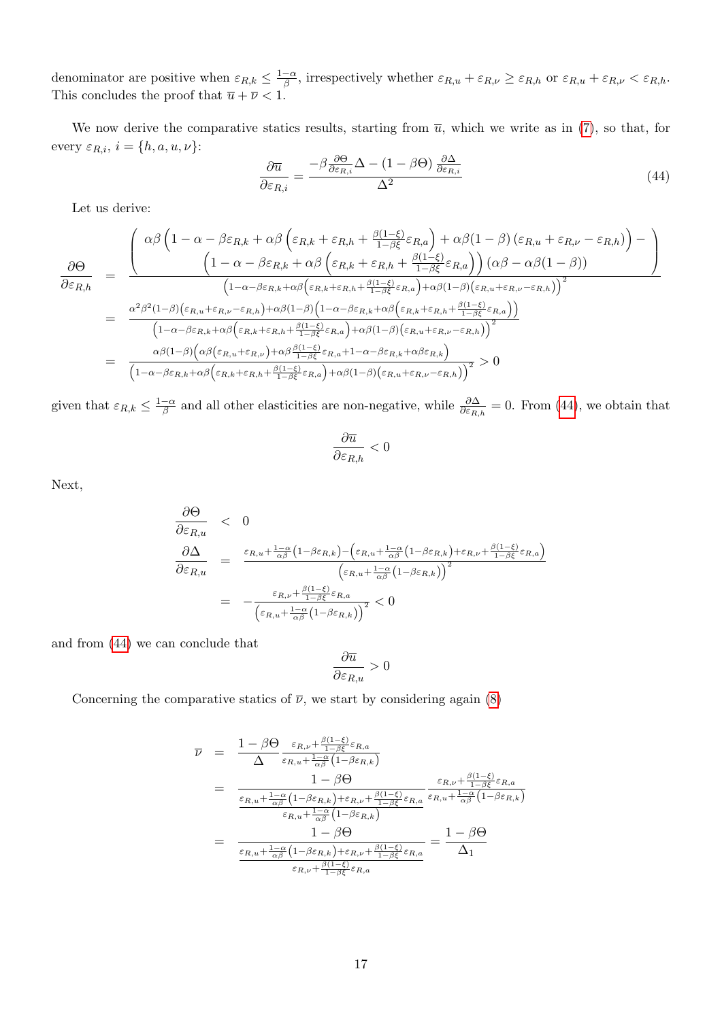denominator are positive when  $\varepsilon_{R,k} \leq \frac{1-\alpha}{\beta}$  $\frac{-\alpha}{\beta}$ , irrespectively whether  $\varepsilon_{R,u} + \varepsilon_{R,\nu} \ge \varepsilon_{R,h}$  or  $\varepsilon_{R,u} + \varepsilon_{R,\nu} < \varepsilon_{R,h}$ . This concludes the proof that  $\overline{u} + \overline{\nu} < 1$ .

We now derive the comparative statics results, starting from  $\overline{u}$ , which we write as in [\(7\)](#page-6-1), so that, for every  $\varepsilon_{R,i}, i = \{h, a, u, \nu\}$ :

<span id="page-16-0"></span>
$$
\frac{\partial \overline{u}}{\partial \varepsilon_{R,i}} = \frac{-\beta \frac{\partial \Theta}{\partial \varepsilon_{R,i}} \Delta - (1 - \beta \Theta) \frac{\partial \Delta}{\partial \varepsilon_{R,i}}}{\Delta^2} \tag{44}
$$

Let us derive:

$$
\frac{\partial \Theta}{\partial \varepsilon_{R,h}} = \frac{\left(\frac{\alpha \beta \left(1 - \alpha - \beta \varepsilon_{R,k} + \alpha \beta \left(\varepsilon_{R,k} + \varepsilon_{R,h} + \frac{\beta(1-\xi)}{1-\beta \xi} \varepsilon_{R,a}\right) + \alpha \beta (1-\beta) \left(\varepsilon_{R,u} + \varepsilon_{R,\nu} - \varepsilon_{R,h}\right)\right) - \left(1 - \alpha - \beta \varepsilon_{R,k} + \alpha \beta \left(\varepsilon_{R,k} + \varepsilon_{R,h} + \frac{\beta(1-\xi)}{1-\beta \xi} \varepsilon_{R,a}\right)\right) (\alpha \beta - \alpha \beta (1-\beta))}{\left(1 - \alpha - \beta \varepsilon_{R,k} + \alpha \beta \left(\varepsilon_{R,k} + \varepsilon_{R,h} + \frac{\beta(1-\xi)}{1-\beta \xi} \varepsilon_{R,a}\right) + \alpha \beta (1-\beta) \left(\varepsilon_{R,u} + \varepsilon_{R,\nu} - \varepsilon_{R,h}\right)\right)^2}\right)}{\left(1 - \alpha - \beta \varepsilon_{R,k} + \alpha \beta \left(\varepsilon_{R,k} + \varepsilon_{R,h} + \frac{\beta(1-\xi)}{1-\beta \xi} \varepsilon_{R,a}\right) + \alpha \beta (1-\beta) \left(\varepsilon_{R,u} + \varepsilon_{R,\nu} - \varepsilon_{R,h}\right)\right)^2}\right)}
$$
\n
$$
= \frac{\alpha \beta (1-\beta) \left(\alpha \beta (\varepsilon_{R,u} + \varepsilon_{R,h}) + \alpha \beta (1-\beta) \left(\varepsilon_{R,u} + \varepsilon_{R,h} + \frac{\beta(1-\xi)}{1-\beta \xi} \varepsilon_{R,a}\right) + \alpha \beta (1-\beta) \left(\varepsilon_{R,u} + \varepsilon_{R,h} - \varepsilon_{R,h}\right)\right)^2}{\left(1 - \alpha - \beta \varepsilon_{R,k} + \alpha \beta \left(\varepsilon_{R,u} + \varepsilon_{R,\nu}\right) + \alpha \beta \frac{\beta(1-\xi)}{1-\beta \xi} \varepsilon_{R,a} + 1 - \alpha - \beta \varepsilon_{R,k} + \alpha \beta \varepsilon_{R,k}\right)}{\left(1 - \alpha - \beta \varepsilon_{R,k} + \alpha \beta \left(\varepsilon_{R,h} + \varepsilon_{R,h} + \frac{\beta(1-\xi
$$

given that  $\varepsilon_{R,k} \leq \frac{1-\alpha}{\beta}$  $\frac{-\alpha}{\beta}$  and all other elasticities are non-negative, while  $\frac{\partial \Delta}{\partial \varepsilon_{R,h}} = 0$ . From [\(44\)](#page-16-0), we obtain that

$$
\frac{\partial \overline{u}}{\partial \varepsilon_{R,h}} < 0
$$

Next,

$$
\frac{\partial \Theta}{\partial \varepsilon_{R,u}} < 0
$$
\n
$$
\frac{\partial \Delta}{\partial \varepsilon_{R,u}} = \frac{\varepsilon_{R,u} + \frac{1-\alpha}{\alpha\beta} \left(1 - \beta \varepsilon_{R,k}\right) - \left(\varepsilon_{R,u} + \frac{1-\alpha}{\alpha\beta} \left(1 - \beta \varepsilon_{R,k}\right) + \varepsilon_{R,v} + \frac{\beta(1-\xi)}{1 - \beta \xi} \varepsilon_{R,a}\right)}{\left(\varepsilon_{R,u} + \frac{1-\alpha}{\alpha\beta} \left(1 - \beta \varepsilon_{R,k}\right)\right)^2}
$$
\n
$$
= -\frac{\varepsilon_{R,v} + \frac{\beta(1-\xi)}{1 - \beta \xi} \varepsilon_{R,a}}{\left(\varepsilon_{R,u} + \frac{1-\alpha}{\alpha\beta} \left(1 - \beta \varepsilon_{R,k}\right)\right)^2} < 0
$$

and from [\(44\)](#page-16-0) we can conclude that

$$
\frac{\partial \overline{u}}{\partial \varepsilon_{R,u}} > 0
$$

Concerning the comparative statics of  $\overline{\nu}$ , we start by considering again [\(8\)](#page-6-1)

$$
\overline{\nu} = \frac{1 - \beta \Theta}{\Delta} \frac{\varepsilon_{R,\nu} + \frac{\beta(1-\xi)}{1 - \beta \xi} \varepsilon_{R,a}}{\varepsilon_{R,u} + \frac{1 - \alpha}{\alpha \beta} \left(1 - \beta \varepsilon_{R,k}\right)}
$$
\n
$$
= \frac{1 - \beta \Theta}{\frac{\varepsilon_{R,u} + \frac{1 - \alpha}{\alpha \beta} \left(1 - \beta \varepsilon_{R,k}\right) + \varepsilon_{R,\nu} + \frac{\beta(1-\xi)}{1 - \beta \xi} \varepsilon_{R,a}}{\varepsilon_{R,u} + \frac{1 - \alpha}{\alpha \beta} \left(1 - \beta \varepsilon_{R,k}\right) + \varepsilon_{R,\nu} + \frac{\beta(1-\xi)}{1 - \beta \xi} \varepsilon_{R,a}} \frac{\varepsilon_{R,\nu} + \frac{\beta(1-\xi)}{1 - \beta \xi} \varepsilon_{R,a}}{\varepsilon_{R,u} + \frac{1 - \alpha}{\alpha \beta} \left(1 - \beta \varepsilon_{R,k}\right)}
$$
\n
$$
= \frac{1 - \beta \Theta}{\frac{\varepsilon_{R,u} + \frac{1 - \alpha}{\alpha \beta} \left(1 - \beta \varepsilon_{R,k}\right) + \varepsilon_{R,\nu} + \frac{\beta(1-\xi)}{1 - \beta \xi} \varepsilon_{R,a}}{\varepsilon_{R,\nu} + \frac{\beta(1-\xi)}{1 - \beta \xi} \varepsilon_{R,a}} = \frac{1 - \beta \Theta}{\Delta_1}
$$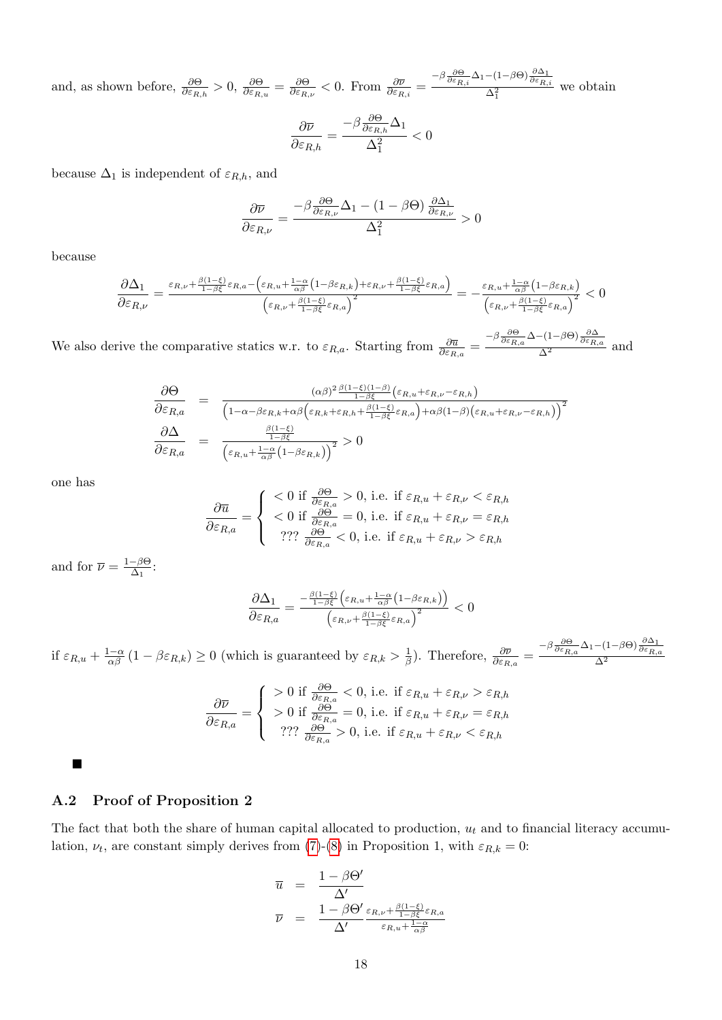and, as shown before,  $\frac{\partial \Theta}{\partial \varepsilon_{R,h}} > 0$ ,  $\frac{\partial \Theta}{\partial \varepsilon_{R,u}} = \frac{\partial \Theta}{\partial \varepsilon_{R,h}}$  $\frac{\partial \Theta}{\partial \varepsilon_{R,\nu}} < 0.$  From  $\frac{\partial \overline{\nu}}{\partial \varepsilon_{R,i}} = \frac{-\beta \frac{\partial \Theta}{\partial \varepsilon_{R,i}} \Delta_1 - (1 - \beta \Theta) \frac{\partial \Delta_1}{\partial \varepsilon_{R,i}}}{\Delta_1^2}$  $\frac{\Delta_1^2}{\Delta_1^2}$  we obtain

$$
\frac{\partial \overline{\nu}}{\partial \varepsilon_{R,h}} = \frac{-\beta \frac{\partial \Theta}{\partial \varepsilon_{R,h}} \Delta_1}{\Delta_1^2} < 0
$$

because  $\Delta_1$  is independent of  $\varepsilon_{R,h}$ , and

$$
\frac{\partial \overline{\nu}}{\partial \varepsilon_{R,\nu}} = \frac{-\beta \frac{\partial \Theta}{\partial \varepsilon_{R,\nu}} \Delta_1 - (1-\beta \Theta) \, \frac{\partial \Delta_1}{\partial \varepsilon_{R,\nu}} }{\Delta_1^2} > 0
$$

because

$$
\frac{\partial \Delta_1}{\partial \varepsilon_{R,\nu}} = \frac{\varepsilon_{R,\nu} + \frac{\beta(1-\xi)}{1-\beta\xi}\varepsilon_{R,a} - \left(\varepsilon_{R,u} + \frac{1-\alpha}{\alpha\beta}\left(1-\beta\varepsilon_{R,k}\right) + \varepsilon_{R,\nu} + \frac{\beta(1-\xi)}{1-\beta\xi}\varepsilon_{R,a}\right)}{\left(\varepsilon_{R,\nu} + \frac{\beta(1-\xi)}{1-\beta\xi}\varepsilon_{R,a}\right)^2} = -\frac{\varepsilon_{R,u} + \frac{1-\alpha}{\alpha\beta}\left(1-\beta\varepsilon_{R,k}\right)}{\left(\varepsilon_{R,\nu} + \frac{\beta(1-\xi)}{1-\beta\xi}\varepsilon_{R,a}\right)^2} < 0
$$

We also derive the comparative statics w.r. to  $\varepsilon_{R,a}$ . Starting from  $\frac{\partial \overline{u}}{\partial \varepsilon_{R,a}} = \frac{-\beta \frac{\partial \Theta}{\partial \varepsilon_{R,a}} \Delta - (1-\beta \Theta) \frac{\partial \Delta}{\partial \varepsilon_{R,a}}}{\Delta^2}$  and

$$
\frac{\partial \Theta}{\partial \varepsilon_{R,a}} = \frac{(\alpha \beta)^2 \frac{\beta(1-\xi)(1-\beta)}{1-\beta \xi} (\varepsilon_{R,u} + \varepsilon_{R,v} - \varepsilon_{R,h})}{\left(1 - \alpha - \beta \varepsilon_{R,k} + \alpha \beta \left(\varepsilon_{R,k} + \varepsilon_{R,h} + \frac{\beta(1-\xi)}{1-\beta \xi} \varepsilon_{R,a}\right) + \alpha \beta (1-\beta) \left(\varepsilon_{R,u} + \varepsilon_{R,v} - \varepsilon_{R,h}\right)\right)^2}
$$
\n
$$
\frac{\partial \Delta}{\partial \varepsilon_{R,a}} = \frac{\frac{\beta(1-\xi)}{1-\beta \xi}}{\left(\varepsilon_{R,u} + \frac{1-\alpha}{\alpha \beta} \left(1 - \beta \varepsilon_{R,k}\right)\right)^2} > 0
$$

one has

$$
\frac{\partial \overline{u}}{\partial \varepsilon_{R,a}} = \begin{cases}\n< 0 \text{ if } \frac{\partial \Theta}{\partial \varepsilon_{R,a}} > 0, \text{ i.e. if } \varepsilon_{R,u} + \varepsilon_{R,\nu} < \varepsilon_{R,h} \\
< 0 \text{ if } \frac{\partial \Theta}{\partial \varepsilon_{R,a}} = 0, \text{ i.e. if } \varepsilon_{R,u} + \varepsilon_{R,\nu} = \varepsilon_{R,h} \\
? ? ? \frac{\partial \Theta}{\partial \varepsilon_{R,a}} < 0, \text{ i.e. if } \varepsilon_{R,u} + \varepsilon_{R,\nu} > \varepsilon_{R,h}\n\end{cases}
$$

and for  $\overline{\nu} = \frac{1-\beta\Theta}{\Delta x}$  $\frac{-\beta\Theta}{\Delta_1}$ :

$$
\frac{\partial \Delta_1}{\partial \varepsilon_{R,a}} = \frac{-\frac{\beta(1-\xi)}{1-\beta\xi} \left(\varepsilon_{R,u} + \frac{1-\alpha}{\alpha\beta} \left(1 - \beta \varepsilon_{R,k}\right)\right)}{\left(\varepsilon_{R,\nu} + \frac{\beta(1-\xi)}{1-\beta\xi} \varepsilon_{R,a}\right)^2} < 0
$$

if  $\varepsilon_{R,u} + \frac{1-\alpha}{\alpha\beta} (1 - \beta \varepsilon_{R,k}) \ge 0$  (which is guaranteed by  $\varepsilon_{R,k} > \frac{1}{\beta}$  $\frac{1}{\beta}$ ). Therefore,  $\frac{\partial \overline{\nu}}{\partial \varepsilon_{R,a}} = \frac{-\beta \frac{\partial \Theta}{\partial \varepsilon_{R,a}} \Delta_1 - (1 - \beta \Theta) \frac{\partial \Delta_1}{\partial \varepsilon_{R,a}}}{\Delta^2}$  $\Delta^2$ 

$$
\frac{\partial \overline{\nu}}{\partial \varepsilon_{R,a}} = \begin{cases}\n> 0 \text{ if } \frac{\partial \Theta}{\partial \varepsilon_{R,a}} < 0 \text{, i.e. if } \varepsilon_{R,u} + \varepsilon_{R,\nu} > \varepsilon_{R,h} \\
> 0 \text{ if } \frac{\partial \Theta}{\partial \varepsilon_{R,a}} = 0 \text{, i.e. if } \varepsilon_{R,u} + \varepsilon_{R,\nu} = \varepsilon_{R,h} \\
? ? ? \frac{\partial \Theta}{\partial \varepsilon_{R,a}} > 0 \text{, i.e. if } \varepsilon_{R,u} + \varepsilon_{R,\nu} < \varepsilon_{R,h}\n\end{cases}
$$

 $\blacksquare$ 

#### A.2 Proof of Proposition 2

The fact that both the share of human capital allocated to production,  $u_t$  and to financial literacy accumulation,  $\nu_t$ , are constant simply derives from [\(7\)](#page-6-1)-[\(8\)](#page-6-1) in Proposition 1, with  $\varepsilon_{R,k} = 0$ :

$$
\begin{array}{rcl} \overline{u} & = & \frac{1-\beta\Theta'}{\Delta'}\\ \overline{\nu} & = & \frac{1-\beta\Theta'}{\Delta'}\frac{\varepsilon_{R,\nu}+\frac{\beta(1-\xi)}{1-\beta\xi}\varepsilon_{R,a}}{\varepsilon_{R,u}+\frac{1-\alpha}{\alpha\beta}} \end{array}
$$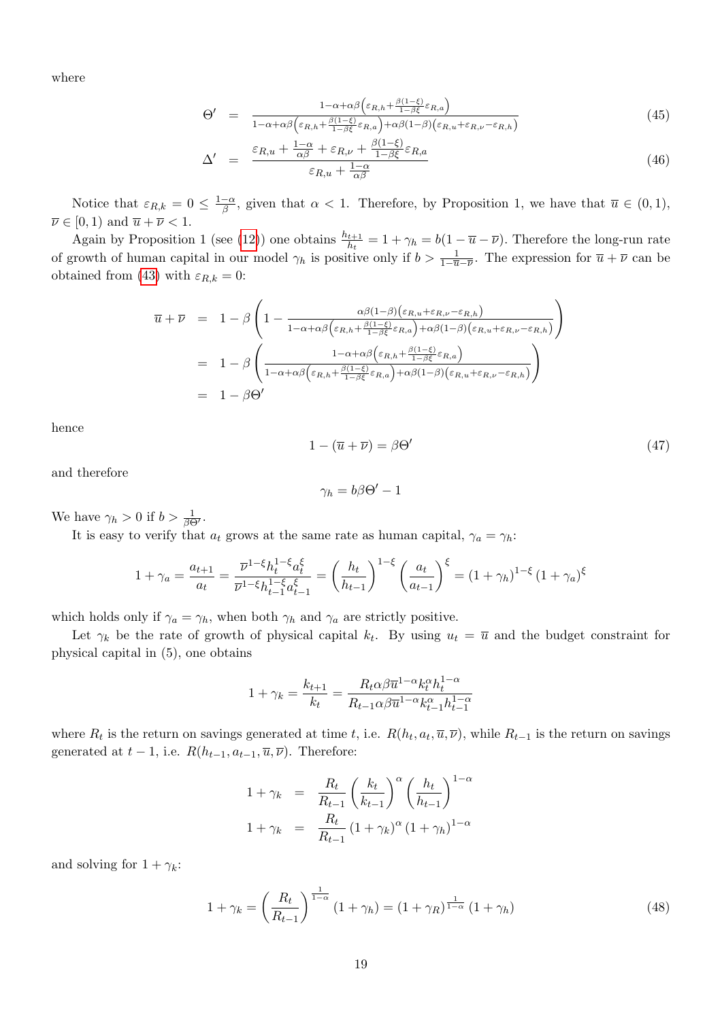where

<span id="page-18-1"></span>
$$
\Theta' = \frac{1 - \alpha + \alpha \beta \left(\varepsilon_{R,h} + \frac{\beta(1-\xi)}{1-\beta \xi} \varepsilon_{R,a}\right)}{1 - \alpha + \alpha \beta \left(\varepsilon_{R,h} + \frac{\beta(1-\xi)}{1-\beta \xi} \varepsilon_{R,a}\right) + \alpha \beta (1-\beta) \left(\varepsilon_{R,u} + \varepsilon_{R,\nu} - \varepsilon_{R,h}\right)}
$$
(45)

$$
\Delta' = \frac{\varepsilon_{R,u} + \frac{1-\alpha}{\alpha\beta} + \varepsilon_{R,\nu} + \frac{\beta(1-\xi)}{1-\beta\xi}\varepsilon_{R,a}}{\varepsilon_{R,u} + \frac{1-\alpha}{\alpha\beta}}
$$
(46)

Notice that  $\varepsilon_{R,k} = 0 \leq \frac{1-\alpha}{\beta}$  $\frac{-\alpha}{\beta}$ , given that  $\alpha < 1$ . Therefore, by Proposition 1, we have that  $\overline{u} \in (0,1)$ ,  $\overline{\nu} \in [0, 1)$  and  $\overline{u} + \overline{\nu} < 1$ .

Again by Proposition 1 (see [\(12\)](#page-6-2)) one obtains  $\frac{h_{t+1}}{h_t} = 1 + \gamma_h = b(1 - \overline{u} - \overline{\nu})$ . Therefore the long-run rate of growth of human capital in our model  $\gamma_h$  is positive only if  $b > \frac{1}{1-\overline{u}-\overline{\nu}}$ . The expression for  $\overline{u} + \overline{\nu}$  can be obtained from [\(43\)](#page-15-0) with  $\varepsilon_{R,k} = 0$ :

$$
\overline{u} + \overline{\nu} = 1 - \beta \left( 1 - \frac{\alpha \beta (1 - \beta) (\varepsilon_{R,u} + \varepsilon_{R,\nu} - \varepsilon_{R,h})}{1 - \alpha + \alpha \beta (\varepsilon_{R,h} + \frac{\beta (1 - \xi)}{1 - \beta \xi} \varepsilon_{R,a}) + \alpha \beta (1 - \beta) (\varepsilon_{R,u} + \varepsilon_{R,\nu} - \varepsilon_{R,h})} \right)
$$
\n
$$
= 1 - \beta \left( \frac{1 - \alpha + \alpha \beta (\varepsilon_{R,h} + \frac{\beta (1 - \xi)}{1 - \beta \xi} \varepsilon_{R,a})}{1 - \alpha + \alpha \beta (\varepsilon_{R,h} + \frac{\beta (1 - \xi)}{1 - \beta \xi} \varepsilon_{R,a}) + \alpha \beta (1 - \beta) (\varepsilon_{R,u} + \varepsilon_{R,\nu} - \varepsilon_{R,h})} \right)
$$
\n
$$
= 1 - \beta \Theta'
$$

hence

<span id="page-18-2"></span>
$$
1 - (\overline{u} + \overline{\nu}) = \beta \Theta'
$$
 (47)

and therefore

$$
\gamma_h=b\beta\Theta'-1
$$

We have  $\gamma_h > 0$  if  $b > \frac{1}{\beta \Theta'}$ .

It is easy to verify that  $a_t$  grows at the same rate as human capital,  $\gamma_a = \gamma_h$ :

$$
1 + \gamma_a = \frac{a_{t+1}}{a_t} = \frac{\overline{\nu}^{1-\xi} h_t^{1-\xi} a_t^{\xi}}{\overline{\nu}^{1-\xi} h_{t-1}^{1-\xi} a_{t-1}^{\xi}} = \left(\frac{h_t}{h_{t-1}}\right)^{1-\xi} \left(\frac{a_t}{a_{t-1}}\right)^{\xi} = \left(1 + \gamma_h\right)^{1-\xi} \left(1 + \gamma_a\right)^{\xi}
$$

which holds only if  $\gamma_a = \gamma_h$ , when both  $\gamma_h$  and  $\gamma_a$  are strictly positive.

Let  $\gamma_k$  be the rate of growth of physical capital  $k_t$ . By using  $u_t = \overline{u}$  and the budget constraint for physical capital in (5), one obtains

$$
1 + \gamma_k = \frac{k_{t+1}}{k_t} = \frac{R_t \alpha \beta \overline{u}^{1-\alpha} k_t^{\alpha} h_t^{1-\alpha}}{R_{t-1} \alpha \beta \overline{u}^{1-\alpha} k_{t-1}^{\alpha} h_{t-1}^{1-\alpha}}
$$

where  $R_t$  is the return on savings generated at time t, i.e.  $R(h_t, a_t, \overline{u}, \overline{\nu})$ , while  $R_{t-1}$  is the return on savings generated at  $t-1$ , i.e.  $R(h_{t-1}, a_{t-1}, \overline{u}, \overline{\nu})$ . Therefore:

$$
1 + \gamma_k = \frac{R_t}{R_{t-1}} \left(\frac{k_t}{k_{t-1}}\right)^{\alpha} \left(\frac{h_t}{h_{t-1}}\right)^{1-\alpha}
$$

$$
1 + \gamma_k = \frac{R_t}{R_{t-1}} \left(1 + \gamma_k\right)^{\alpha} \left(1 + \gamma_h\right)^{1-\alpha}
$$

and solving for  $1 + \gamma_k$ :

<span id="page-18-0"></span>
$$
1 + \gamma_k = \left(\frac{R_t}{R_{t-1}}\right)^{\frac{1}{1-\alpha}} (1 + \gamma_h) = (1 + \gamma_R)^{\frac{1}{1-\alpha}} (1 + \gamma_h)
$$
\n(48)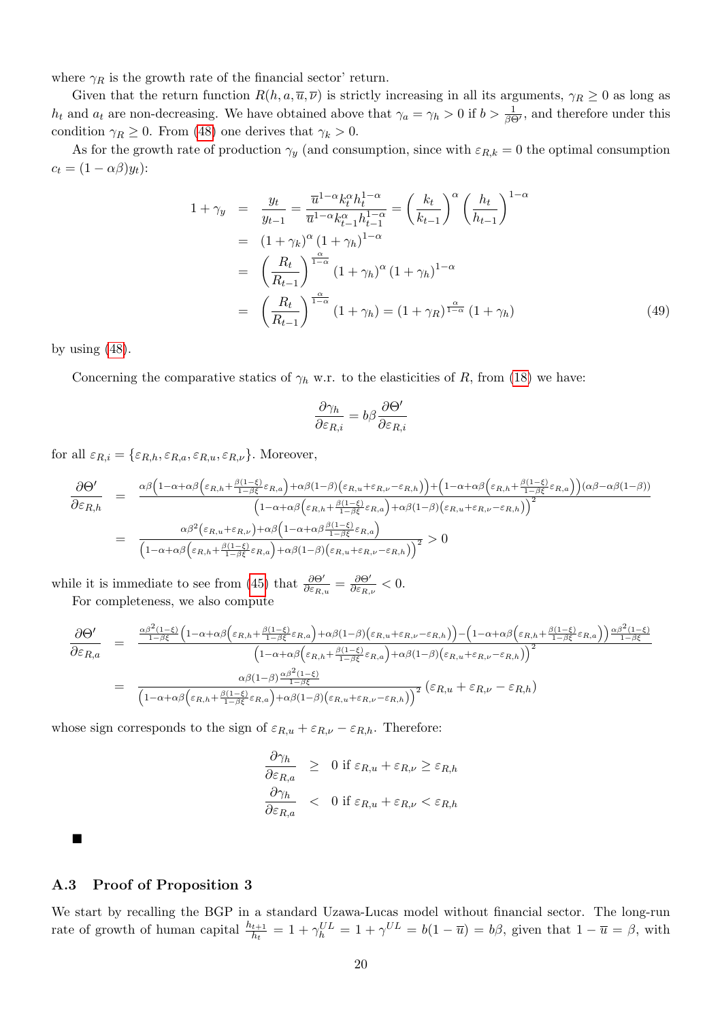where  $\gamma_R$  is the growth rate of the financial sector' return.

Given that the return function  $R(h, a, \overline{u}, \overline{\nu})$  is strictly increasing in all its arguments,  $\gamma_R \geq 0$  as long as  $h_t$  and  $a_t$  are non-decreasing. We have obtained above that  $\gamma_a = \gamma_h > 0$  if  $b > \frac{1}{\beta \Theta'}$ , and therefore under this condition  $\gamma_R \geq 0$ . From [\(48\)](#page-18-0) one derives that  $\gamma_k > 0$ .

As for the growth rate of production  $\gamma_y$  (and consumption, since with  $\varepsilon_{R,k} = 0$  the optimal consumption  $c_t = (1 - \alpha \beta) y_t$ :

$$
1 + \gamma_y = \frac{y_t}{y_{t-1}} = \frac{\overline{u}^{1-\alpha} k_t^{\alpha} h_t^{1-\alpha}}{\overline{u}^{1-\alpha} k_{t-1}^{\alpha} h_{t-1}^{1-\alpha}} = \left(\frac{k_t}{k_{t-1}}\right)^{\alpha} \left(\frac{h_t}{h_{t-1}}\right)^{1-\alpha}
$$
  
\n
$$
= (1 + \gamma_k)^{\alpha} (1 + \gamma_h)^{1-\alpha}
$$
  
\n
$$
= \left(\frac{R_t}{R_{t-1}}\right)^{\frac{\alpha}{1-\alpha}} (1 + \gamma_h)^{\alpha} (1 + \gamma_h)^{1-\alpha}
$$
  
\n
$$
= \left(\frac{R_t}{R_{t-1}}\right)^{\frac{\alpha}{1-\alpha}} (1 + \gamma_h) = (1 + \gamma_R)^{\frac{\alpha}{1-\alpha}} (1 + \gamma_h)
$$
 (49)

by using  $(48)$ .

Concerning the comparative statics of  $\gamma_h$  w.r. to the elasticities of R, from [\(18\)](#page-8-0) we have:

$$
\frac{\partial \gamma_h}{\partial \varepsilon_{R,i}} = b\beta \frac{\partial \Theta'}{\partial \varepsilon_{R,i}}
$$

for all  $\varepsilon_{R,i} = \{\varepsilon_{R,h}, \varepsilon_{R,a}, \varepsilon_{R,u}, \varepsilon_{R,\nu}\}.$  Moreover,

$$
\frac{\partial \Theta'}{\partial \varepsilon_{R,h}} = \frac{\alpha \beta \left(1 - \alpha + \alpha \beta \left(\varepsilon_{R,h} + \frac{\beta(1-\xi)}{1-\beta \xi}\varepsilon_{R,a}\right) + \alpha \beta (1-\beta)\left(\varepsilon_{R,u} + \varepsilon_{R,\nu} - \varepsilon_{R,h}\right)\right) + \left(1 - \alpha + \alpha \beta \left(\varepsilon_{R,h} + \frac{\beta(1-\xi)}{1-\beta \xi}\varepsilon_{R,a}\right)\right) (\alpha \beta - \alpha \beta (1-\beta))}{\left(1 - \alpha + \alpha \beta \left(\varepsilon_{R,h} + \frac{\beta(1-\xi)}{1-\beta \xi}\varepsilon_{R,a}\right) + \alpha \beta (1-\beta)\left(\varepsilon_{R,u} + \varepsilon_{R,\nu} - \varepsilon_{R,h}\right)\right)^2}
$$
\n
$$
= \frac{\alpha \beta^2 \left(\varepsilon_{R,u} + \varepsilon_{R,\nu}\right) + \alpha \beta \left(1 - \alpha + \alpha \beta \frac{\beta(1-\xi)}{1-\beta \xi}\varepsilon_{R,a}\right)}{\left(1 - \alpha + \alpha \beta \left(\varepsilon_{R,h} + \frac{\beta(1-\xi)}{1-\beta \xi}\varepsilon_{R,a}\right) + \alpha \beta (1-\beta)\left(\varepsilon_{R,u} + \varepsilon_{R,\nu} - \varepsilon_{R,h}\right)\right)^2} > 0
$$

while it is immediate to see from [\(45\)](#page-18-1) that  $\frac{\partial \Theta'}{\partial \varepsilon_{R,u}} = \frac{\partial \Theta'}{\partial \varepsilon_{R,v}}$  $\frac{\partial \Theta'}{\partial \varepsilon_{R,\nu}} < 0.$ For completeness, we also compute

$$
\frac{\partial \Theta'}{\partial \varepsilon_{R,a}} = \frac{\frac{\alpha \beta^2 (1-\xi)}{1-\beta \xi} \left(1 - \alpha + \alpha \beta \left(\varepsilon_{R,h} + \frac{\beta (1-\xi)}{1-\beta \xi} \varepsilon_{R,a}\right) + \alpha \beta (1-\beta) \left(\varepsilon_{R,u} + \varepsilon_{R,\nu} - \varepsilon_{R,h}\right)\right) - \left(1 - \alpha + \alpha \beta \left(\varepsilon_{R,h} + \frac{\beta (1-\xi)}{1-\beta \xi} \varepsilon_{R,a}\right)\right) \frac{\alpha \beta^2 (1-\xi)}{1-\beta \xi}}{\left(1 - \alpha + \alpha \beta \left(\varepsilon_{R,h} + \frac{\beta (1-\xi)}{1-\beta \xi} \varepsilon_{R,a}\right) + \alpha \beta (1-\beta) \left(\varepsilon_{R,u} + \varepsilon_{R,\nu} - \varepsilon_{R,h}\right)\right)^2}
$$
\n
$$
= \frac{\alpha \beta (1-\beta) \frac{\alpha \beta^2 (1-\xi)}{1-\beta \xi}}{\left(1 - \alpha + \alpha \beta \left(\varepsilon_{R,h} + \frac{\beta (1-\xi)}{1-\beta \xi} \varepsilon_{R,a}\right) + \alpha \beta (1-\beta) \left(\varepsilon_{R,u} + \varepsilon_{R,\nu} - \varepsilon_{R,h}\right)\right)^2} \left(\varepsilon_{R,u} + \varepsilon_{R,\nu} - \varepsilon_{R,h}\right)
$$

whose sign corresponds to the sign of  $\varepsilon_{R,u} + \varepsilon_{R,\nu} - \varepsilon_{R,h}$ . Therefore:

$$
\frac{\partial \gamma_h}{\partial \varepsilon_{R,a}} \geq 0 \text{ if } \varepsilon_{R,u} + \varepsilon_{R,\nu} \geq \varepsilon_{R,h}
$$
  

$$
\frac{\partial \gamma_h}{\partial \varepsilon_{R,a}} < 0 \text{ if } \varepsilon_{R,u} + \varepsilon_{R,\nu} < \varepsilon_{R,h}
$$

П

#### A.3 Proof of Proposition 3

We start by recalling the BGP in a standard Uzawa-Lucas model without financial sector. The long-run rate of growth of human capital  $\frac{h_{t+1}}{h_t} = 1 + \gamma_L^{UL} = 1 + \gamma^{UL} = b(1 - \overline{u}) = b\beta$ , given that  $1 - \overline{u} = \beta$ , with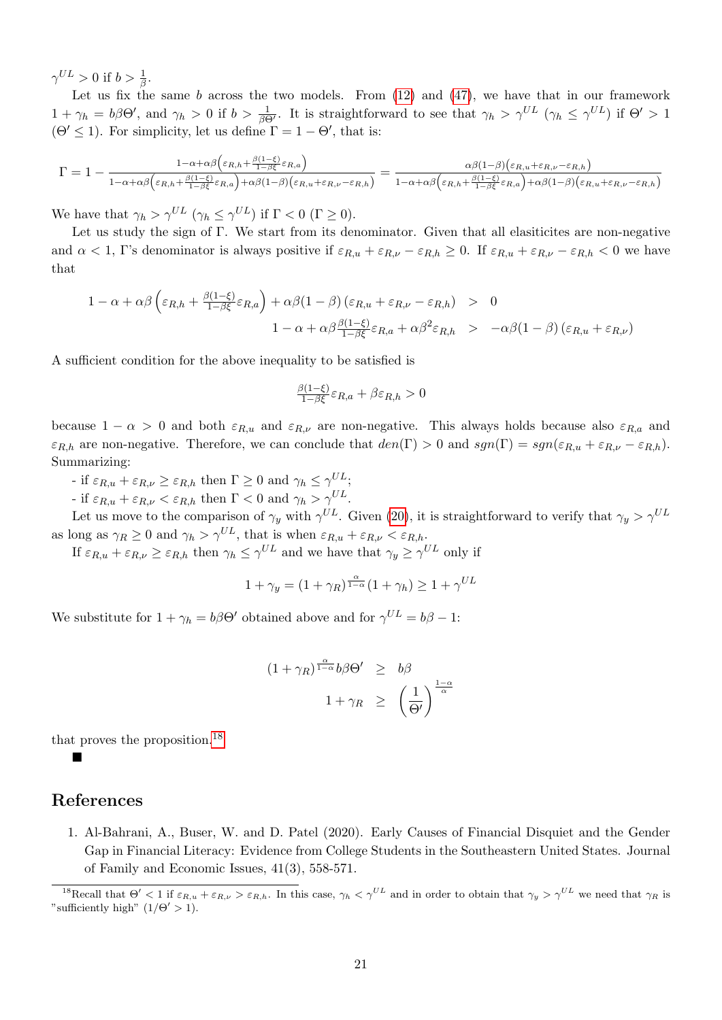$\gamma^{UL} > 0$  if  $b > \frac{1}{\beta}$ .

Let us fix the same  $b$  across the two models. From  $(12)$  and  $(47)$ , we have that in our framework  $1 + \gamma_h = b\beta\Theta'$ , and  $\gamma_h > 0$  if  $b > \frac{1}{\beta\Theta'}$ . It is straightforward to see that  $\gamma_h > \gamma^{UL}$   $(\gamma_h \leq \gamma^{UL})$  if  $\Theta' > 1$  $(\Theta' \leq 1)$ . For simplicity, let us define  $\Gamma = 1 - \Theta'$ , that is:

$$
\Gamma = 1 - \frac{1 - \alpha + \alpha \beta \left(\varepsilon_{R,h} + \frac{\beta(1-\xi)}{1-\beta \xi}\varepsilon_{R,a}\right)}{1 - \alpha + \alpha \beta \left(\varepsilon_{R,h} + \frac{\beta(1-\xi)}{1-\beta \xi}\varepsilon_{R,a}\right) + \alpha \beta (1-\beta) \left(\varepsilon_{R,u} + \varepsilon_{R,\nu} - \varepsilon_{R,h}\right)}} = \frac{\alpha \beta (1-\beta) \left(\varepsilon_{R,u} + \varepsilon_{R,\nu} - \varepsilon_{R,h}\right)}{1 - \alpha + \alpha \beta \left(\varepsilon_{R,h} + \frac{\beta(1-\xi)}{1-\beta \xi}\varepsilon_{R,a}\right) + \alpha \beta (1-\beta) \left(\varepsilon_{R,u} + \varepsilon_{R,\nu} - \varepsilon_{R,h}\right)}}
$$

We have that  $\gamma_h > \gamma^{UL}$   $(\gamma_h \leq \gamma^{UL})$  if  $\Gamma < 0$   $(\Gamma \geq 0)$ .

Let us study the sign of Γ. We start from its denominator. Given that all elasiticites are non-negative and  $\alpha < 1$ , Γ's denominator is always positive if  $\varepsilon_{R,u} + \varepsilon_{R,\nu} - \varepsilon_{R,h} \ge 0$ . If  $\varepsilon_{R,u} + \varepsilon_{R,\nu} - \varepsilon_{R,h} < 0$  we have that

$$
1 - \alpha + \alpha \beta \left( \varepsilon_{R,h} + \frac{\beta(1-\xi)}{1-\beta \xi} \varepsilon_{R,a} \right) + \alpha \beta (1-\beta) \left( \varepsilon_{R,u} + \varepsilon_{R,\nu} - \varepsilon_{R,h} \right) > 0
$$
  

$$
1 - \alpha + \alpha \beta \frac{\beta(1-\xi)}{1-\beta \xi} \varepsilon_{R,a} + \alpha \beta^2 \varepsilon_{R,h} > -\alpha \beta (1-\beta) \left( \varepsilon_{R,u} + \varepsilon_{R,\nu} \right)
$$

A sufficient condition for the above inequality to be satisfied is

$$
\frac{\beta(1-\xi)}{1-\beta\xi}\varepsilon_{R,a} + \beta\varepsilon_{R,h} > 0
$$

because  $1 - \alpha > 0$  and both  $\varepsilon_{R,u}$  and  $\varepsilon_{R,v}$  are non-negative. This always holds because also  $\varepsilon_{R,a}$  and  $\varepsilon_{R,h}$  are non-negative. Therefore, we can conclude that  $den(\Gamma) > 0$  and  $sgn(\Gamma) = sgn(\varepsilon_{R,u} + \varepsilon_{R,\nu} - \varepsilon_{R,h}).$ Summarizing:

- if  $\varepsilon_{R,u} + \varepsilon_{R,\nu} \ge \varepsilon_{R,h}$  then  $\Gamma \ge 0$  and  $\gamma_h \le \gamma^{UL}$ ;

- if  $\varepsilon_{R,u} + \varepsilon_{R,\nu} < \varepsilon_{R,h}$  then  $\Gamma < 0$  and  $\gamma_h > \gamma^{UL}$ .

Let us move to the comparison of  $\gamma_y$  with  $\gamma^{UL}$ . Given [\(20\)](#page-8-0), it is straightforward to verify that  $\gamma_y > \gamma^{UL}$ as long as  $\gamma_R \geq 0$  and  $\gamma_h > \gamma^{UL}$ , that is when  $\varepsilon_{R,u} + \varepsilon_{R,\nu} < \varepsilon_{R,h}$ .

If  $\varepsilon_{R,u} + \varepsilon_{R,\nu} \ge \varepsilon_{R,h}$  then  $\gamma_h \le \gamma^{UL}$  and we have that  $\gamma_y \ge \gamma^{UL}$  only if

$$
1 + \gamma_y = (1 + \gamma_R)^{\frac{\alpha}{1 - \alpha}} (1 + \gamma_h) \ge 1 + \gamma^{UL}
$$

We substitute for  $1 + \gamma_h = b\beta\Theta'$  obtained above and for  $\gamma^{UL} = b\beta - 1$ :

$$
(1 + \gamma_R)^{\frac{\alpha}{1 - \alpha}} b\beta \Theta' \geq b\beta
$$
  

$$
1 + \gamma_R \geq \left(\frac{1}{\Theta'}\right)^{\frac{1 - \alpha}{\alpha}}
$$

that proves the proposition.[18](#page-0-0)

 $\blacksquare$ 

### References

1. Al-Bahrani, A., Buser, W. and D. Patel (2020). Early Causes of Financial Disquiet and the Gender Gap in Financial Literacy: Evidence from College Students in the Southeastern United States. Journal of Family and Economic Issues, 41(3), 558-571.

<sup>&</sup>lt;sup>18</sup>Recall that  $\Theta' < 1$  if  $\varepsilon_{R,u} + \varepsilon_{R,\nu} > \varepsilon_{R,h}$ . In this case,  $\gamma_h < \gamma^{UL}$  and in order to obtain that  $\gamma_y > \gamma^{UL}$  we need that  $\gamma_R$  is "sufficiently high"  $(1/\Theta' > 1)$ .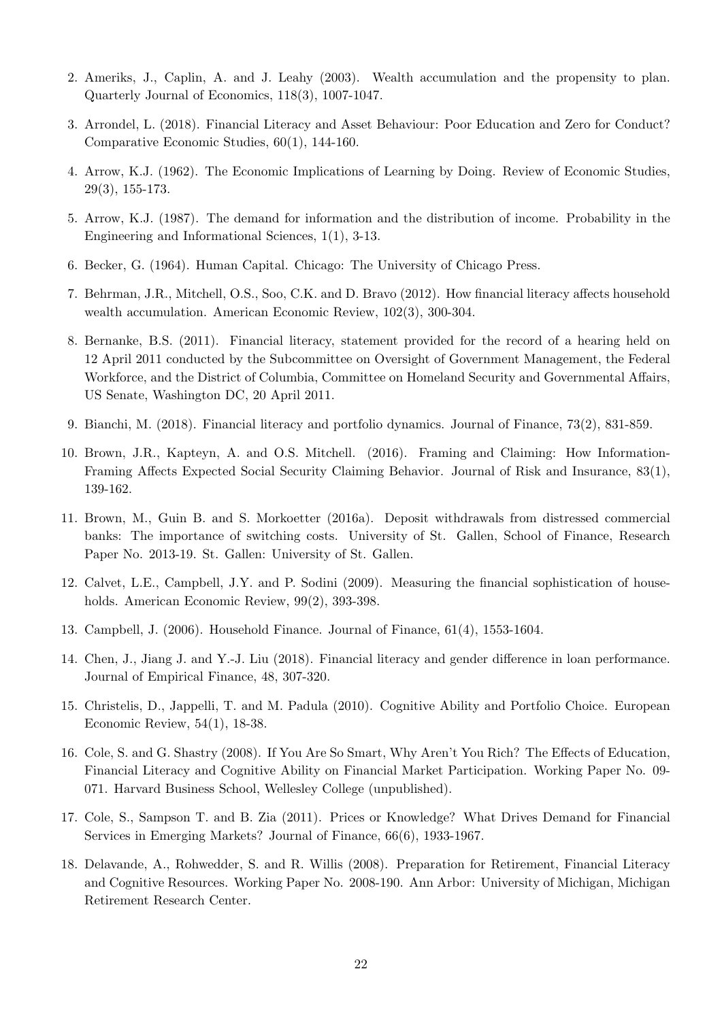- 2. Ameriks, J., Caplin, A. and J. Leahy (2003). Wealth accumulation and the propensity to plan. Quarterly Journal of Economics, 118(3), 1007-1047.
- 3. Arrondel, L. (2018). Financial Literacy and Asset Behaviour: Poor Education and Zero for Conduct? Comparative Economic Studies, 60(1), 144-160.
- 4. Arrow, K.J. (1962). The Economic Implications of Learning by Doing. Review of Economic Studies, 29(3), 155-173.
- 5. Arrow, K.J. (1987). The demand for information and the distribution of income. Probability in the Engineering and Informational Sciences, 1(1), 3-13.
- 6. Becker, G. (1964). Human Capital. Chicago: The University of Chicago Press.
- 7. Behrman, J.R., Mitchell, O.S., Soo, C.K. and D. Bravo (2012). How financial literacy affects household wealth accumulation. American Economic Review, 102(3), 300-304.
- 8. Bernanke, B.S. (2011). Financial literacy, statement provided for the record of a hearing held on 12 April 2011 conducted by the Subcommittee on Oversight of Government Management, the Federal Workforce, and the District of Columbia, Committee on Homeland Security and Governmental Affairs, US Senate, Washington DC, 20 April 2011.
- 9. Bianchi, M. (2018). Financial literacy and portfolio dynamics. Journal of Finance, 73(2), 831-859.
- 10. Brown, J.R., Kapteyn, A. and O.S. Mitchell. (2016). Framing and Claiming: How Information-Framing Affects Expected Social Security Claiming Behavior. Journal of Risk and Insurance, 83(1), 139-162.
- 11. Brown, M., Guin B. and S. Morkoetter (2016a). Deposit withdrawals from distressed commercial banks: The importance of switching costs. University of St. Gallen, School of Finance, Research Paper No. 2013-19. St. Gallen: University of St. Gallen.
- 12. Calvet, L.E., Campbell, J.Y. and P. Sodini (2009). Measuring the financial sophistication of households. American Economic Review, 99(2), 393-398.
- 13. Campbell, J. (2006). Household Finance. Journal of Finance, 61(4), 1553-1604.
- 14. Chen, J., Jiang J. and Y.-J. Liu (2018). Financial literacy and gender difference in loan performance. Journal of Empirical Finance, 48, 307-320.
- 15. Christelis, D., Jappelli, T. and M. Padula (2010). Cognitive Ability and Portfolio Choice. European Economic Review, 54(1), 18-38.
- 16. Cole, S. and G. Shastry (2008). If You Are So Smart, Why Aren't You Rich? The Effects of Education, Financial Literacy and Cognitive Ability on Financial Market Participation. Working Paper No. 09- 071. Harvard Business School, Wellesley College (unpublished).
- 17. Cole, S., Sampson T. and B. Zia (2011). Prices or Knowledge? What Drives Demand for Financial Services in Emerging Markets? Journal of Finance, 66(6), 1933-1967.
- 18. Delavande, A., Rohwedder, S. and R. Willis (2008). Preparation for Retirement, Financial Literacy and Cognitive Resources. Working Paper No. 2008-190. Ann Arbor: University of Michigan, Michigan Retirement Research Center.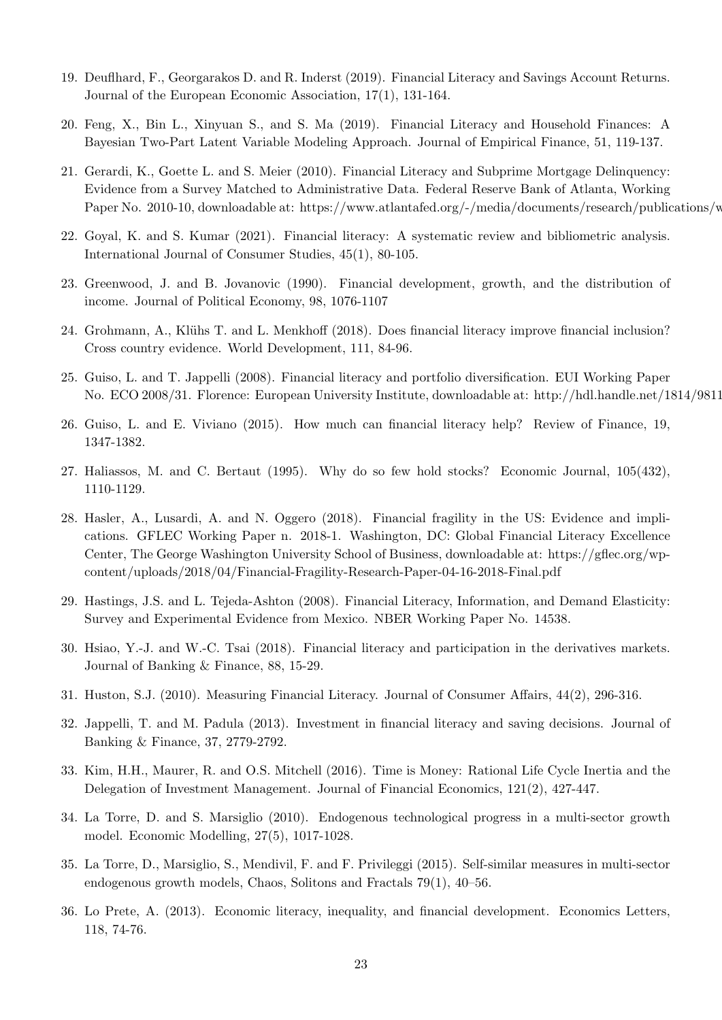- 19. Deuflhard, F., Georgarakos D. and R. Inderst (2019). Financial Literacy and Savings Account Returns. Journal of the European Economic Association, 17(1), 131-164.
- 20. Feng, X., Bin L., Xinyuan S., and S. Ma (2019). Financial Literacy and Household Finances: A Bayesian Two-Part Latent Variable Modeling Approach. Journal of Empirical Finance, 51, 119-137.
- 21. Gerardi, K., Goette L. and S. Meier (2010). Financial Literacy and Subprime Mortgage Delinquency: Evidence from a Survey Matched to Administrative Data. Federal Reserve Bank of Atlanta, Working Paper No. 2010-10, downloadable at: https://www.atlantafed.org/-/media/documents/research/publications/w
- 22. Goyal, K. and S. Kumar (2021). Financial literacy: A systematic review and bibliometric analysis. International Journal of Consumer Studies, 45(1), 80-105.
- 23. Greenwood, J. and B. Jovanovic (1990). Financial development, growth, and the distribution of income. Journal of Political Economy, 98, 1076-1107
- 24. Grohmann, A., Klühs T. and L. Menkhoff (2018). Does financial literacy improve financial inclusion? Cross country evidence. World Development, 111, 84-96.
- 25. Guiso, L. and T. Jappelli (2008). Financial literacy and portfolio diversification. EUI Working Paper No. ECO 2008/31. Florence: European University Institute, downloadable at: http://hdl.handle.net/1814/9811
- 26. Guiso, L. and E. Viviano (2015). How much can financial literacy help? Review of Finance, 19, 1347-1382.
- 27. Haliassos, M. and C. Bertaut (1995). Why do so few hold stocks? Economic Journal, 105(432), 1110-1129.
- 28. Hasler, A., Lusardi, A. and N. Oggero (2018). Financial fragility in the US: Evidence and implications. GFLEC Working Paper n. 2018-1. Washington, DC: Global Financial Literacy Excellence Center, The George Washington University School of Business, downloadable at: https://gflec.org/wpcontent/uploads/2018/04/Financial-Fragility-Research-Paper-04-16-2018-Final.pdf
- 29. Hastings, J.S. and L. Tejeda-Ashton (2008). Financial Literacy, Information, and Demand Elasticity: Survey and Experimental Evidence from Mexico. NBER Working Paper No. 14538.
- 30. Hsiao, Y.-J. and W.-C. Tsai (2018). Financial literacy and participation in the derivatives markets. Journal of Banking & Finance, 88, 15-29.
- 31. Huston, S.J. (2010). Measuring Financial Literacy. Journal of Consumer Affairs, 44(2), 296-316.
- 32. Jappelli, T. and M. Padula (2013). Investment in financial literacy and saving decisions. Journal of Banking & Finance, 37, 2779-2792.
- 33. Kim, H.H., Maurer, R. and O.S. Mitchell (2016). Time is Money: Rational Life Cycle Inertia and the Delegation of Investment Management. Journal of Financial Economics, 121(2), 427-447.
- 34. La Torre, D. and S. Marsiglio (2010). Endogenous technological progress in a multi-sector growth model. Economic Modelling, 27(5), 1017-1028.
- 35. La Torre, D., Marsiglio, S., Mendivil, F. and F. Privileggi (2015). Self-similar measures in multi-sector endogenous growth models, Chaos, Solitons and Fractals 79(1), 40–56.
- 36. Lo Prete, A. (2013). Economic literacy, inequality, and financial development. Economics Letters, 118, 74-76.